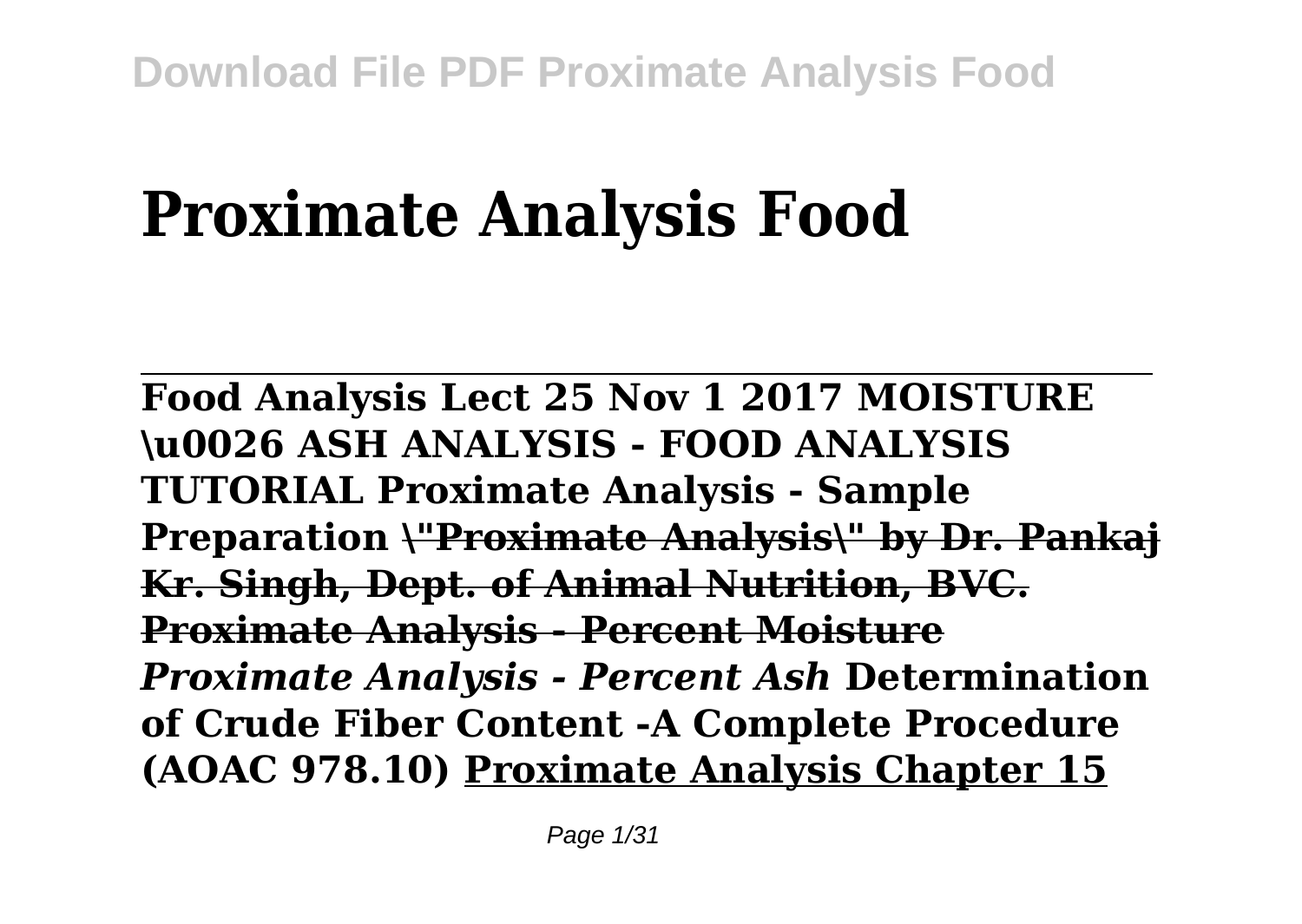# **Proximate Analysis Food**

**Food Analysis Lect 25 Nov 1 2017 MOISTURE \u0026 ASH ANALYSIS - FOOD ANALYSIS TUTORIAL Proximate Analysis - Sample Preparation \"Proximate Analysis\" by Dr. Pankaj Kr. Singh, Dept. of Animal Nutrition, BVC. Proximate Analysis - Percent Moisture** *Proximate Analysis - Percent Ash* **Determination of Crude Fiber Content -A Complete Procedure (AOAC 978.10) Proximate Analysis Chapter 15**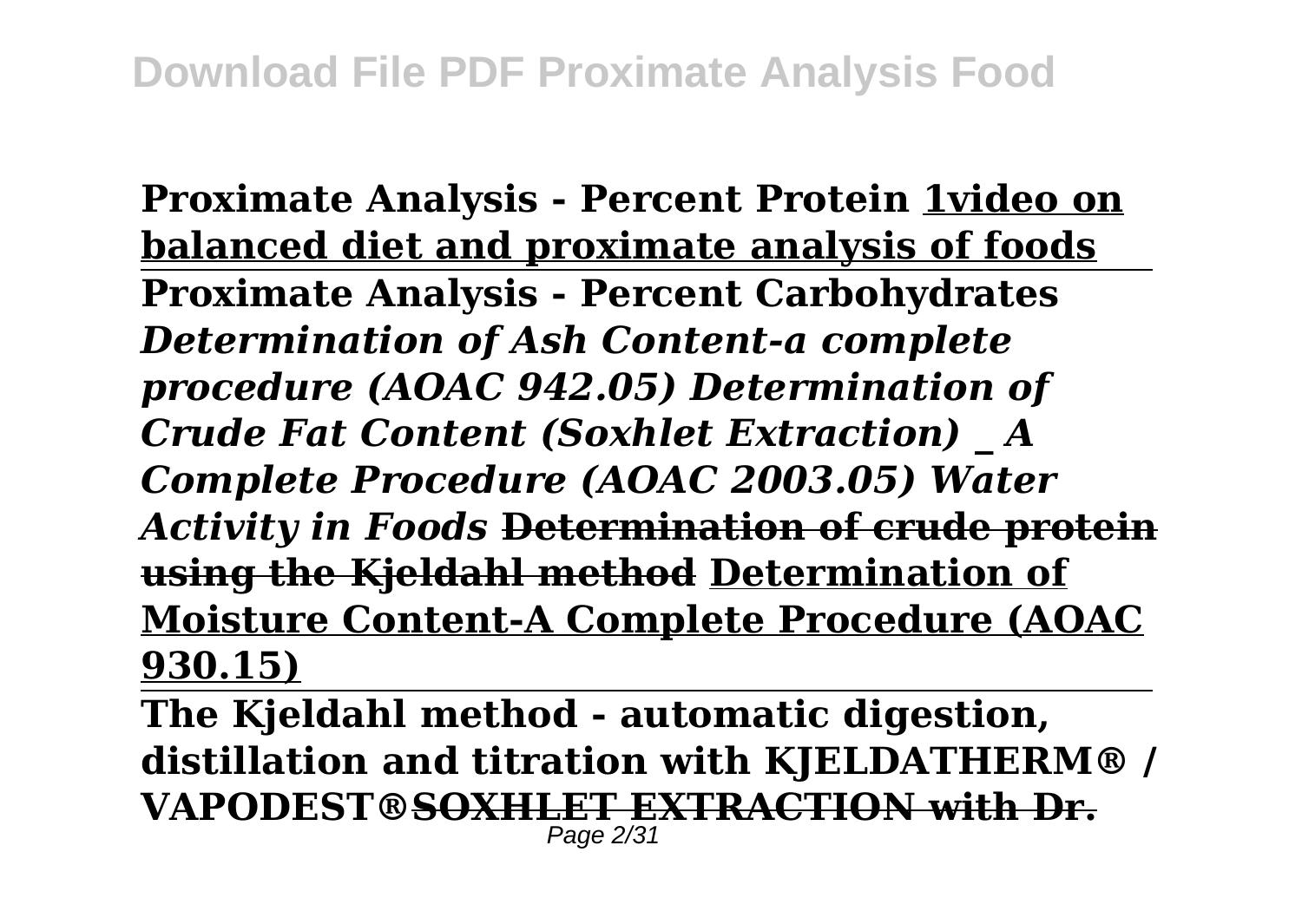**Proximate Analysis - Percent Protein 1video on balanced diet and proximate analysis of foods Proximate Analysis - Percent Carbohydrates** *Determination of Ash Content-a complete procedure (AOAC 942.05) Determination of Crude Fat Content (Soxhlet Extraction) \_ A Complete Procedure (AOAC 2003.05) Water Activity in Foods* **Determination of crude protein using the Kjeldahl method Determination of Moisture Content-A Complete Procedure (AOAC 930.15)**

**The Kjeldahl method - automatic digestion, distillation and titration with KJELDATHERM® / VAPODEST®SOXHLET EXTRACTION with Dr.** Page 2/31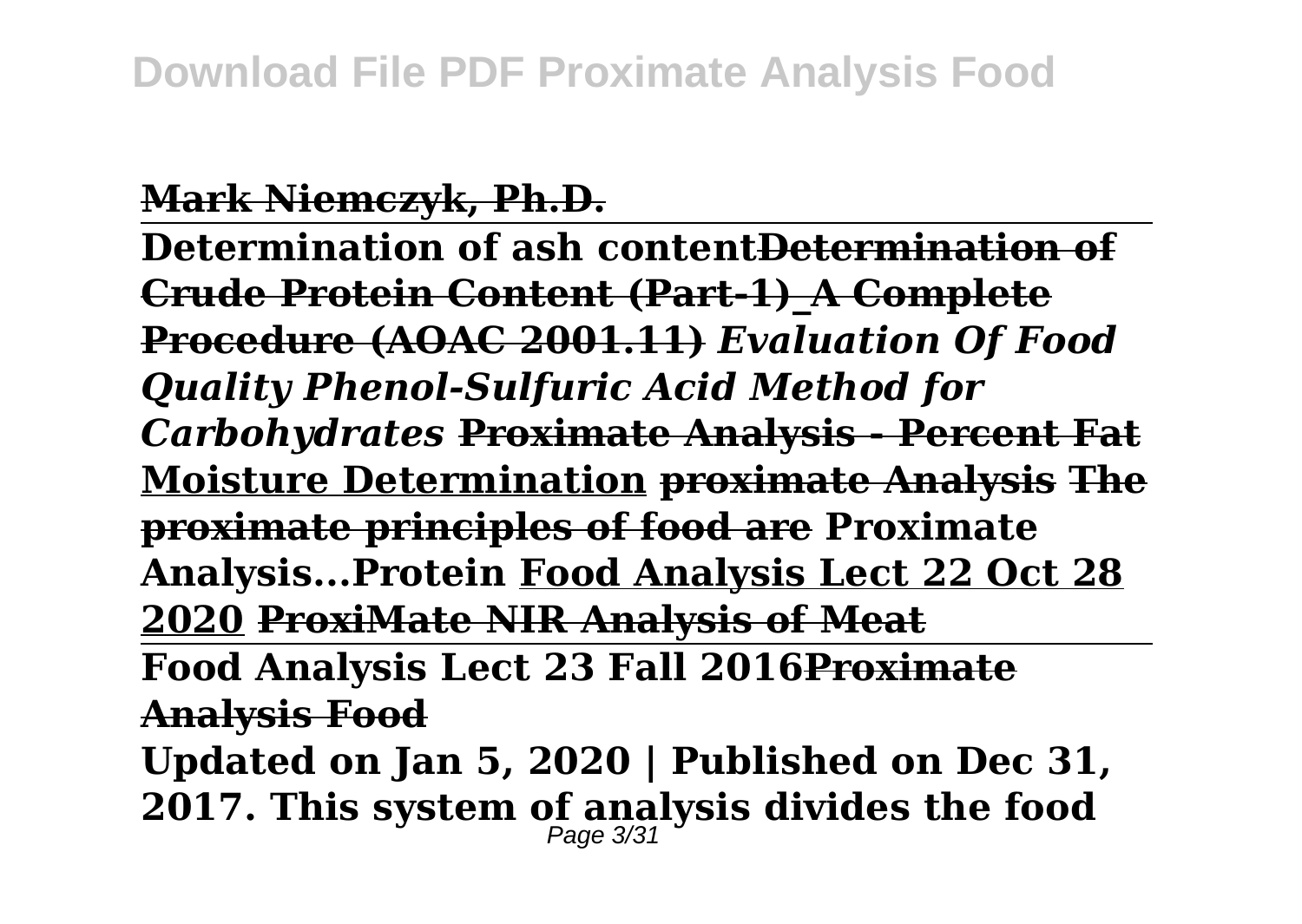## **Mark Niemczyk, Ph.D.**

**Determination of ash contentDetermination of Crude Protein Content (Part-1)\_A Complete Procedure (AOAC 2001.11)** *Evaluation Of Food Quality Phenol-Sulfuric Acid Method for Carbohydrates* **Proximate Analysis - Percent Fat Moisture Determination proximate Analysis The proximate principles of food are Proximate Analysis...Protein Food Analysis Lect 22 Oct 28 2020 ProxiMate NIR Analysis of Meat Food Analysis Lect 23 Fall 2016Proximate**

**Analysis Food**

**Updated on Jan 5, 2020 | Published on Dec 31, 2017. This system of analysis divides the food** Page 3/31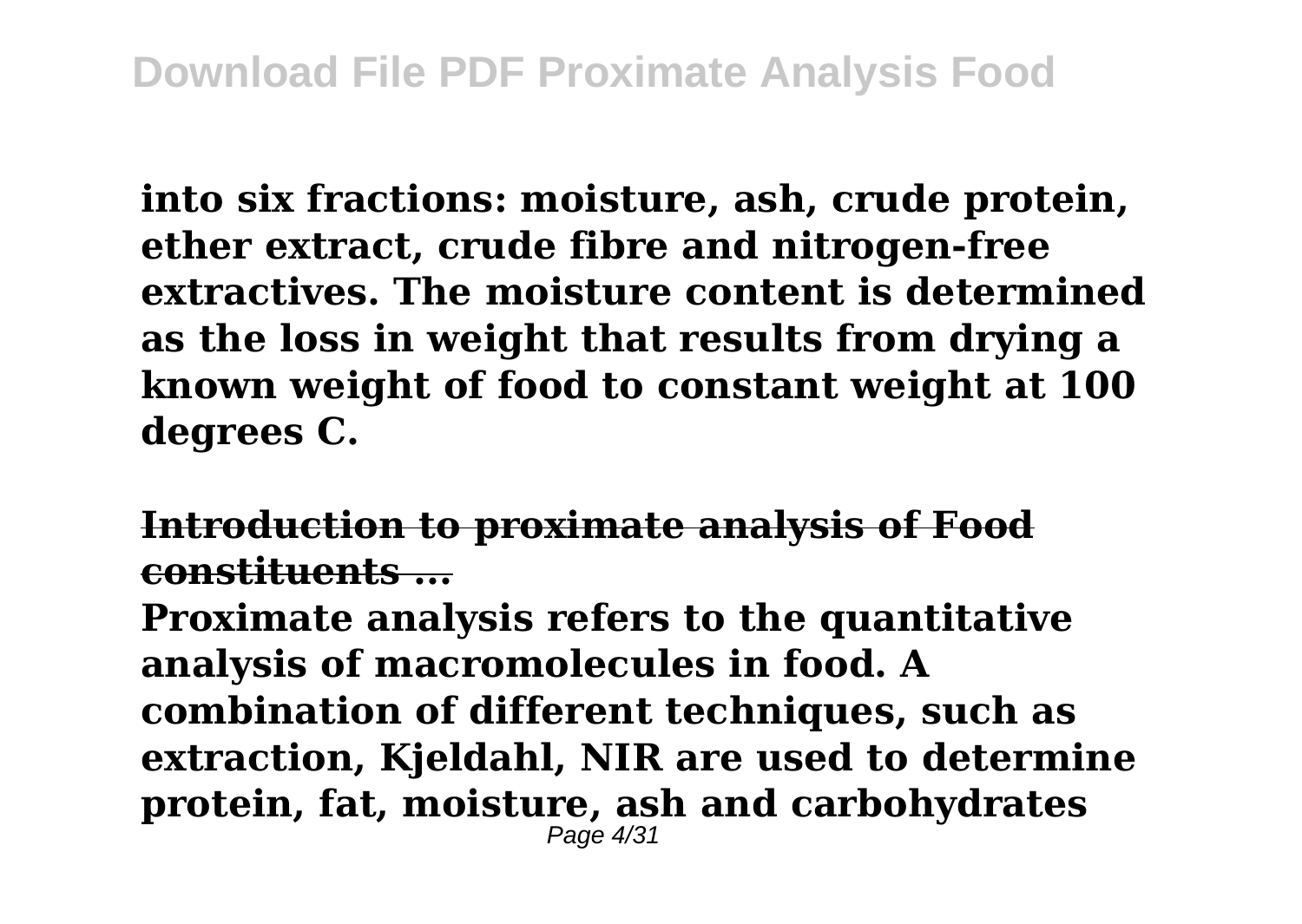**into six fractions: moisture, ash, crude protein, ether extract, crude fibre and nitrogen-free extractives. The moisture content is determined as the loss in weight that results from drying a known weight of food to constant weight at 100 degrees C.**

**Introduction to proximate analysis of Food constituents ...**

**Proximate analysis refers to the quantitative analysis of macromolecules in food. A combination of different techniques, such as extraction, Kjeldahl, NIR are used to determine protein, fat, moisture, ash and carbohydrates**  $P$ age  $4/31$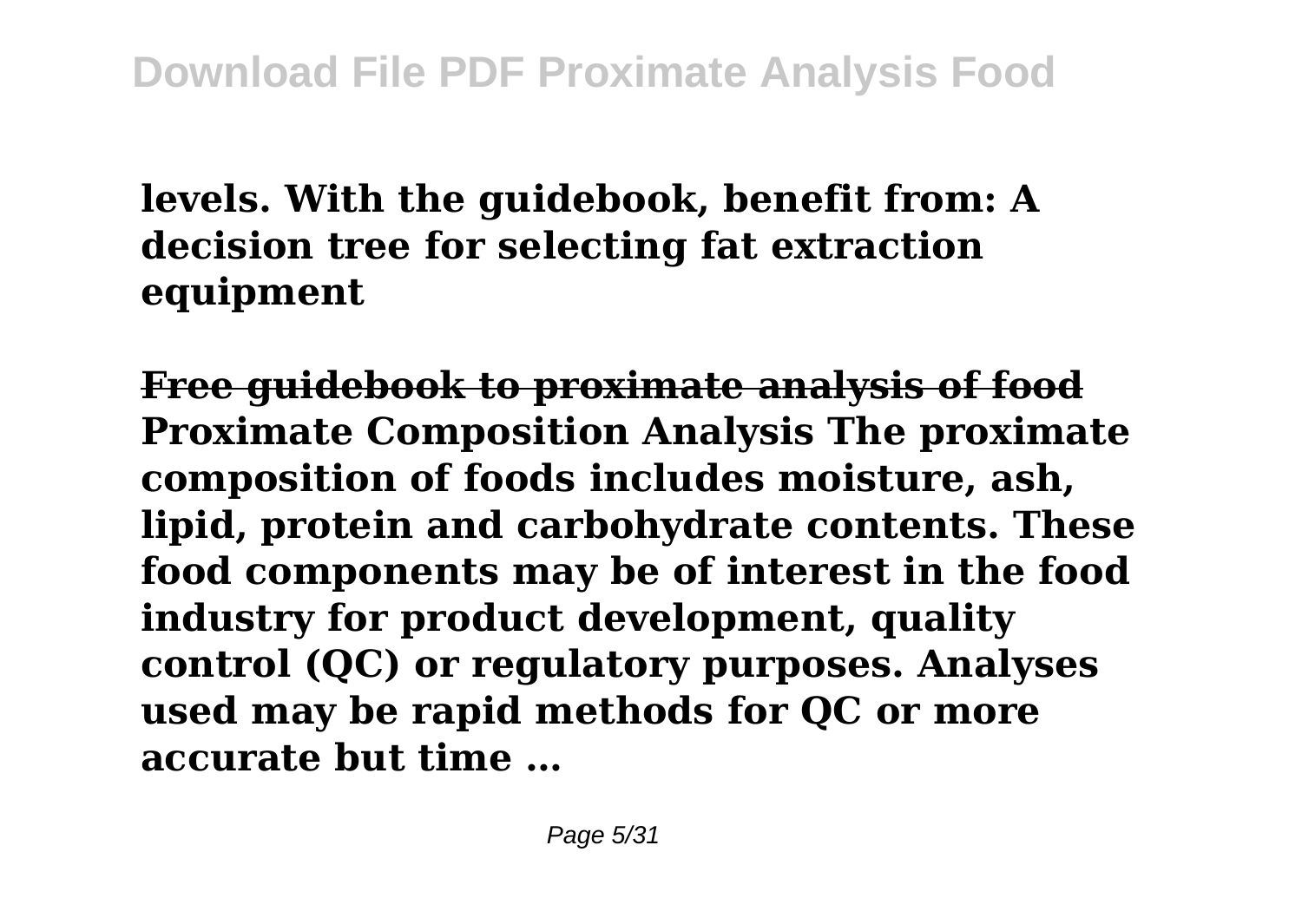# **levels. With the guidebook, benefit from: A decision tree for selecting fat extraction equipment**

**Free guidebook to proximate analysis of food Proximate Composition Analysis The proximate composition of foods includes moisture, ash, lipid, protein and carbohydrate contents. These food components may be of interest in the food industry for product development, quality control (QC) or regulatory purposes. Analyses used may be rapid methods for QC or more accurate but time …**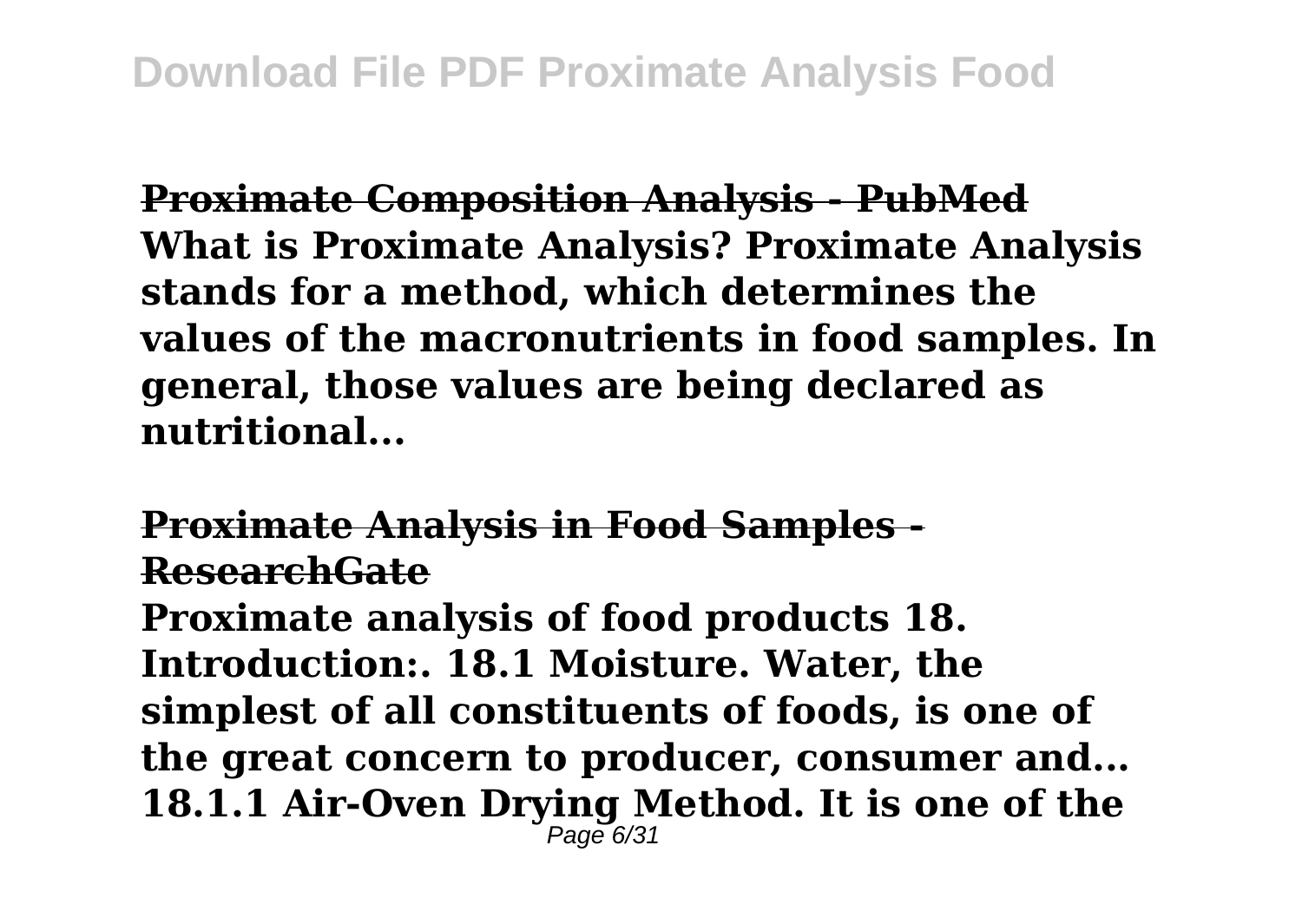**Proximate Composition Analysis - PubMed What is Proximate Analysis? Proximate Analysis stands for a method, which determines the values of the macronutrients in food samples. In general, those values are being declared as nutritional...**

**Proximate Analysis in Food Samples - ResearchGate**

**Proximate analysis of food products 18. Introduction:. 18.1 Moisture. Water, the simplest of all constituents of foods, is one of the great concern to producer, consumer and... 18.1.1 Air-Oven Drying Method. It is one of the** Page 6/31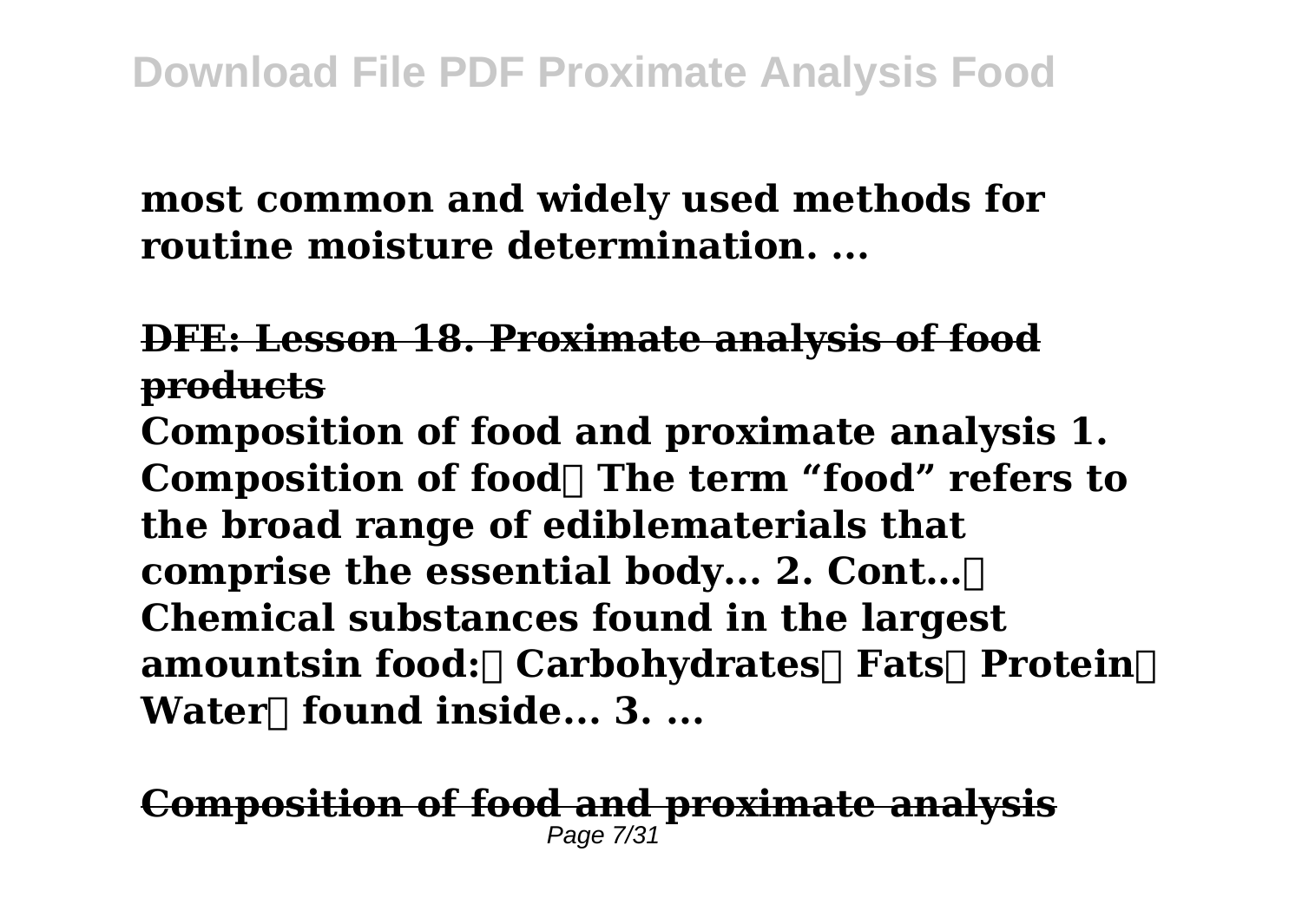**most common and widely used methods for routine moisture determination. ...**

## **DFE: Lesson 18. Proximate analysis of food products**

**Composition of food and proximate analysis 1.** Composition of food The term "food" refers to **the broad range of ediblematerials that comprise the essential body... 2. Cont… Chemical substances found in the largest amountsin food: Carbohydrates Fats Protein Water** found inside... 3. ...

#### **Composition of food and proximate analysis** Page 7/31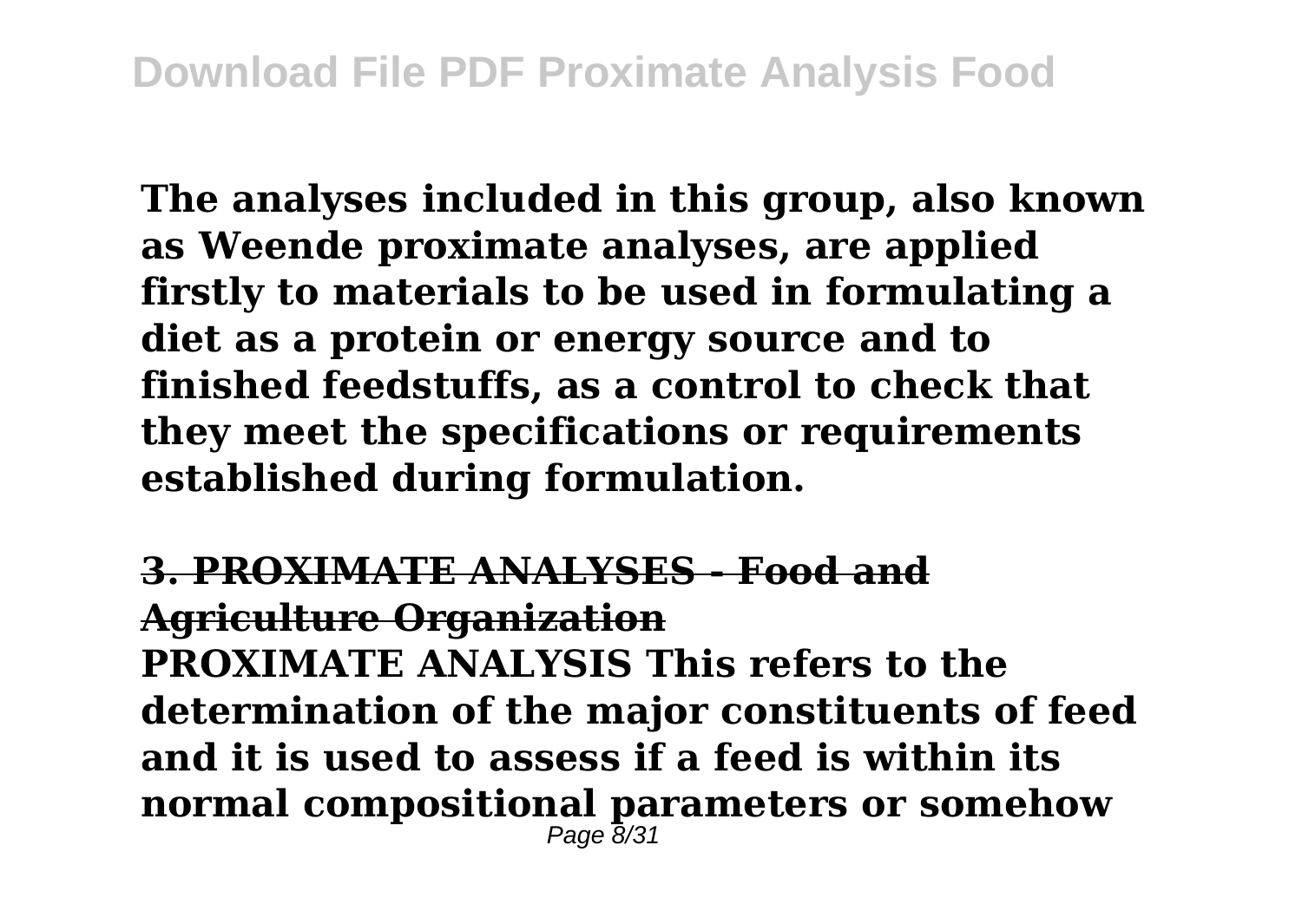**The analyses included in this group, also known as Weende proximate analyses, are applied firstly to materials to be used in formulating a diet as a protein or energy source and to finished feedstuffs, as a control to check that they meet the specifications or requirements established during formulation.**

**3. PROXIMATE ANALYSES - Food and Agriculture Organization PROXIMATE ANALYSIS This refers to the determination of the major constituents of feed and it is used to assess if a feed is within its normal compositional parameters or somehow**  $P$ age  $\bar{B}/31$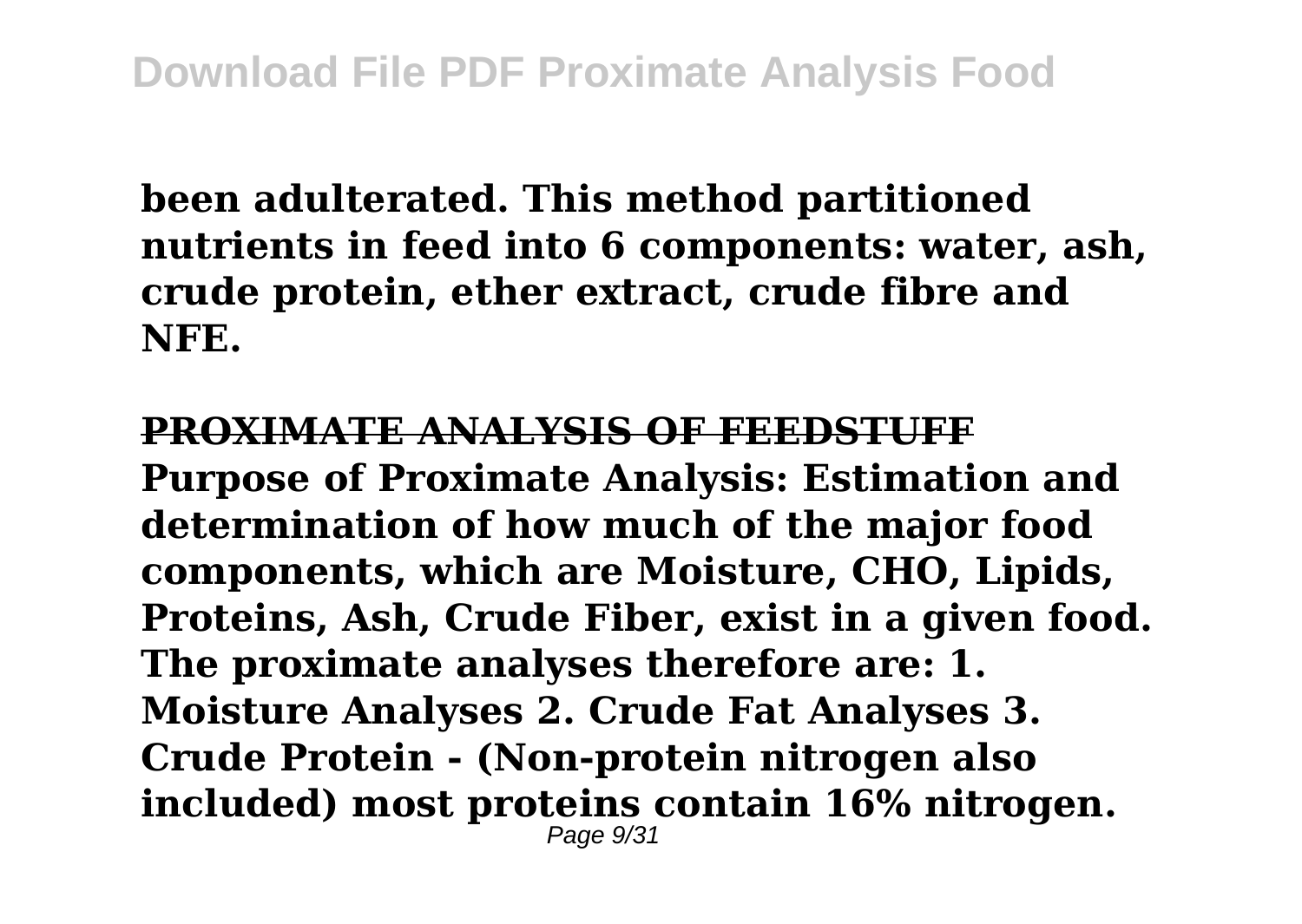**been adulterated. This method partitioned nutrients in feed into 6 components: water, ash, crude protein, ether extract, crude fibre and NFE.**

#### **PROXIMATE ANALYSIS OF FEEDSTUFF**

**Purpose of Proximate Analysis: Estimation and determination of how much of the major food components, which are Moisture, CHO, Lipids, Proteins, Ash, Crude Fiber, exist in a given food. The proximate analyses therefore are: 1. Moisture Analyses 2. Crude Fat Analyses 3. Crude Protein - (Non-protein nitrogen also included) most proteins contain 16% nitrogen.** Page 9/31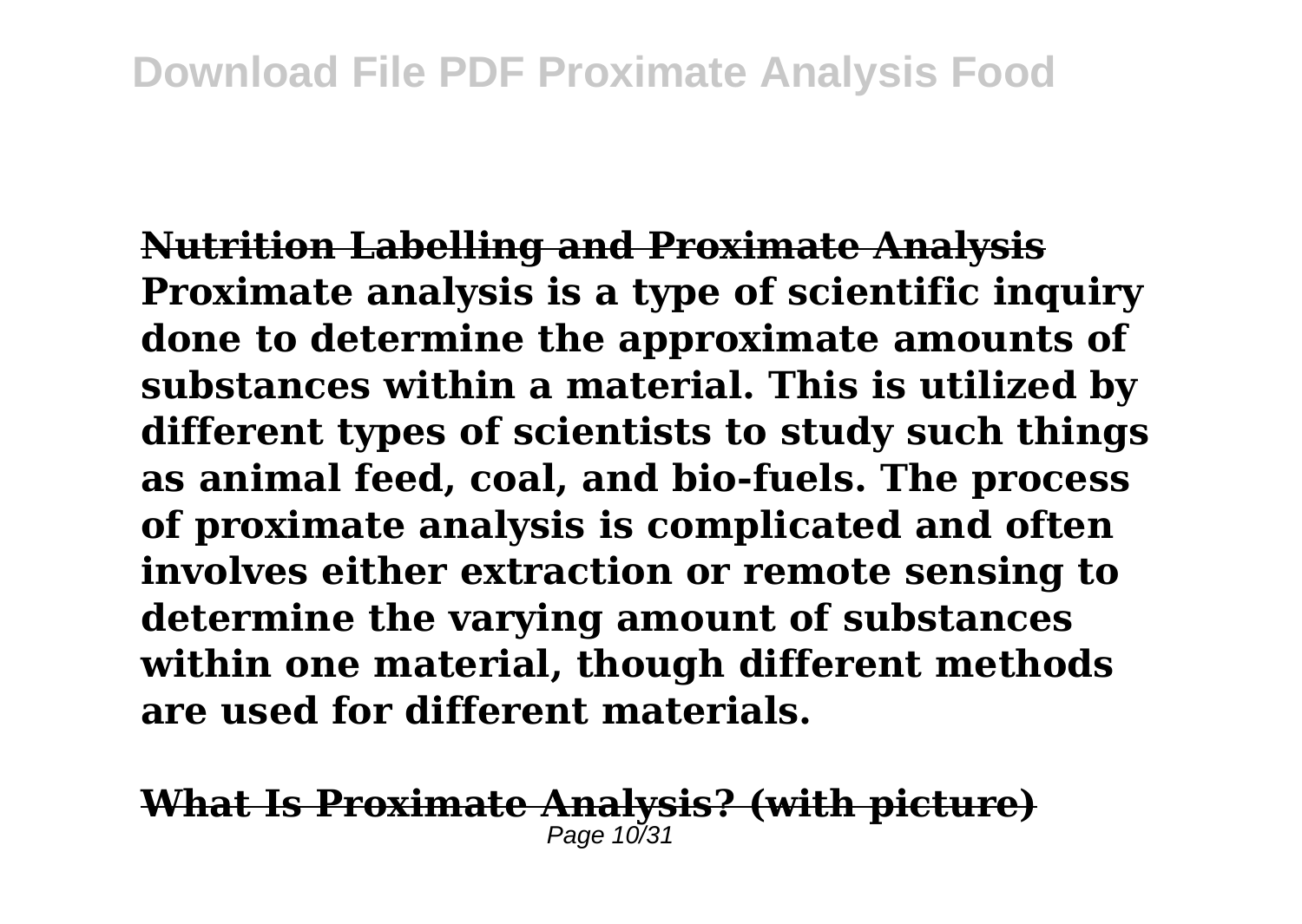**Nutrition Labelling and Proximate Analysis Proximate analysis is a type of scientific inquiry done to determine the approximate amounts of substances within a material. This is utilized by different types of scientists to study such things as animal feed, coal, and bio-fuels. The process of proximate analysis is complicated and often involves either extraction or remote sensing to determine the varying amount of substances within one material, though different methods are used for different materials.**

#### **What Is Proximate Analysis? (with picture)** Page 10/3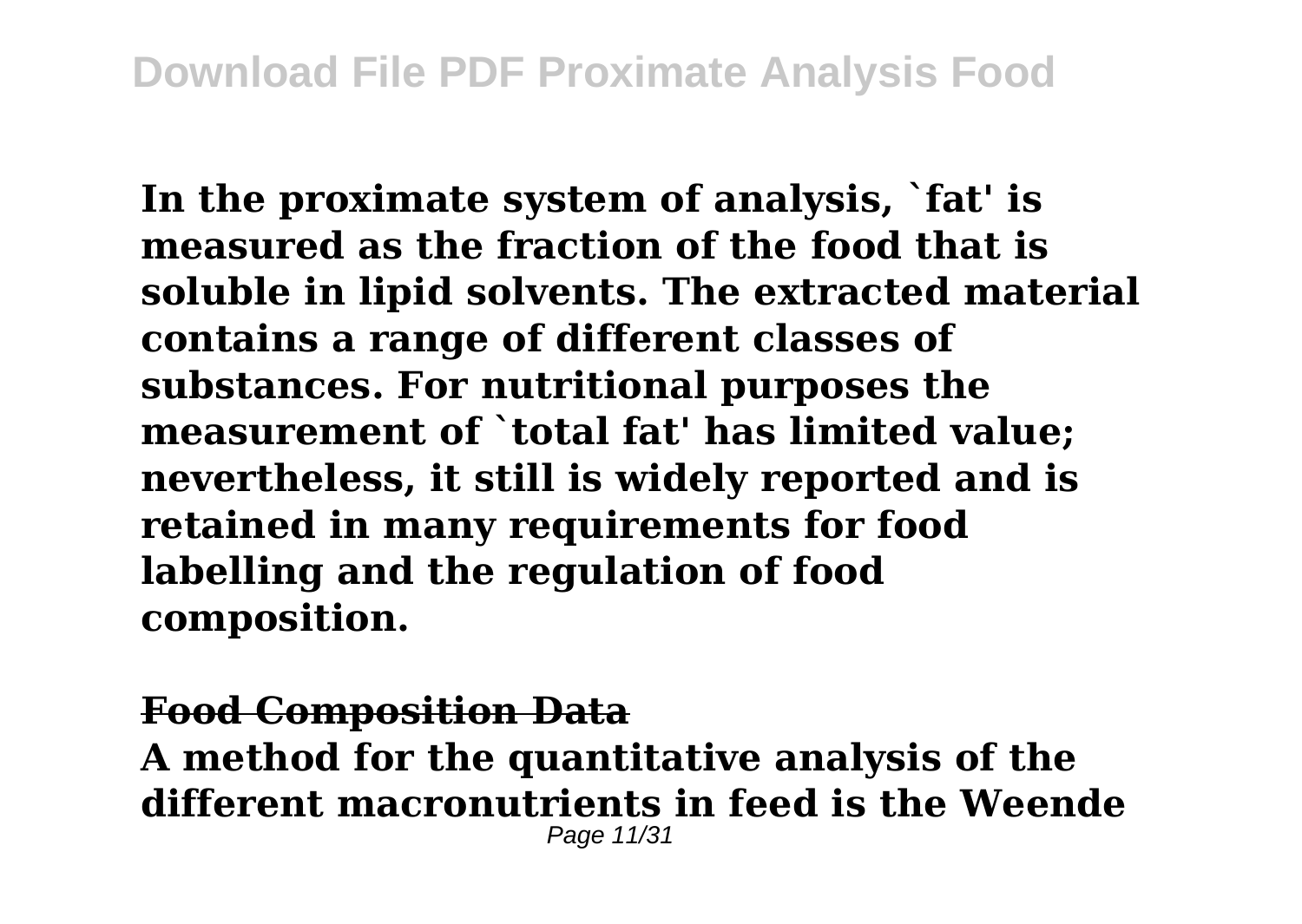**In the proximate system of analysis, `fat' is measured as the fraction of the food that is soluble in lipid solvents. The extracted material contains a range of different classes of substances. For nutritional purposes the measurement of `total fat' has limited value; nevertheless, it still is widely reported and is retained in many requirements for food labelling and the regulation of food composition.**

## **Food Composition Data A method for the quantitative analysis of the different macronutrients in feed is the Weende** Page 11/31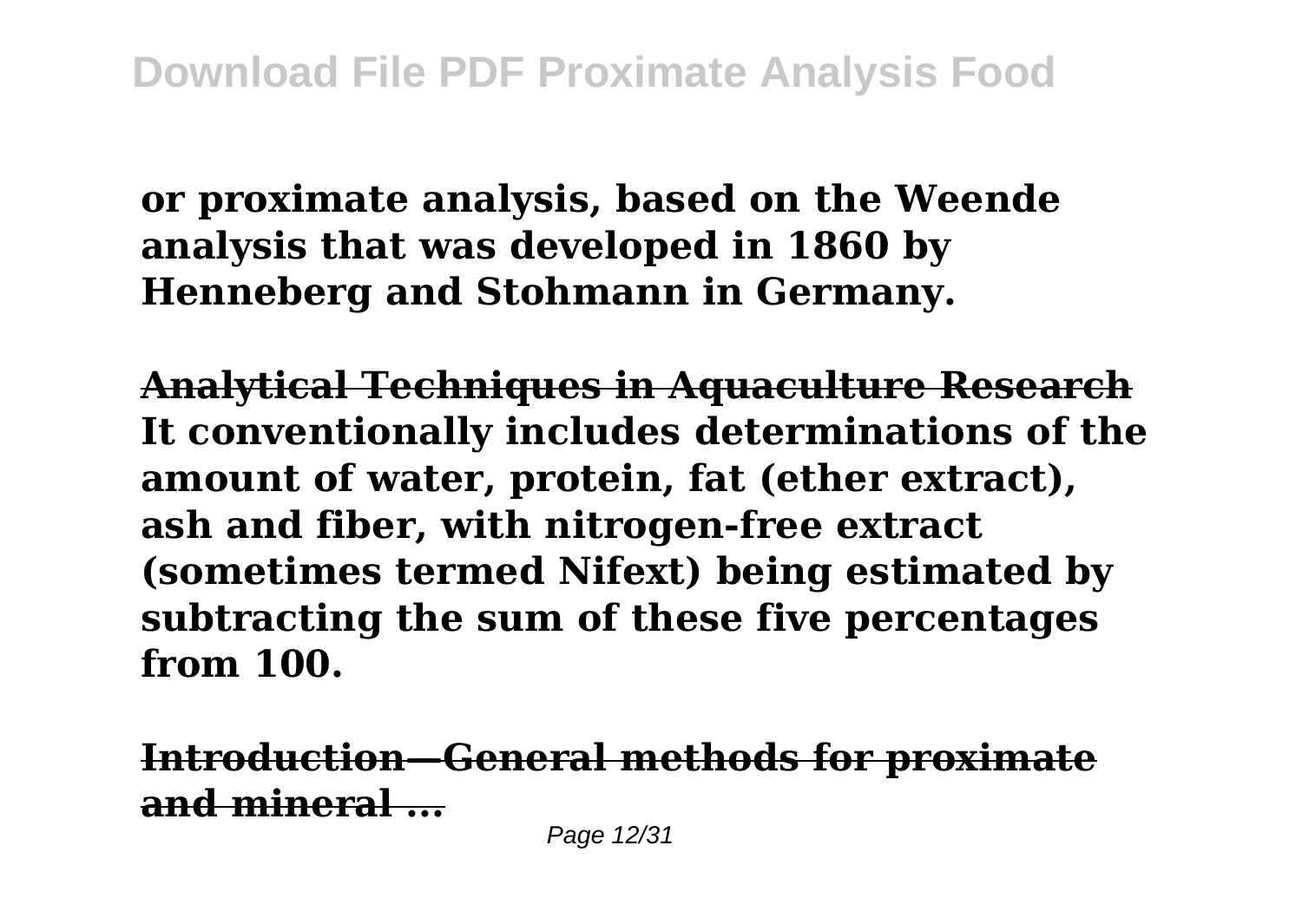**or proximate analysis, based on the Weende analysis that was developed in 1860 by Henneberg and Stohmann in Germany.**

**Analytical Techniques in Aquaculture Research It conventionally includes determinations of the amount of water, protein, fat (ether extract), ash and fiber, with nitrogen-free extract (sometimes termed Nifext) being estimated by subtracting the sum of these five percentages from 100.**

**Introduction—General methods for proximate and mineral ...**

Page 12/31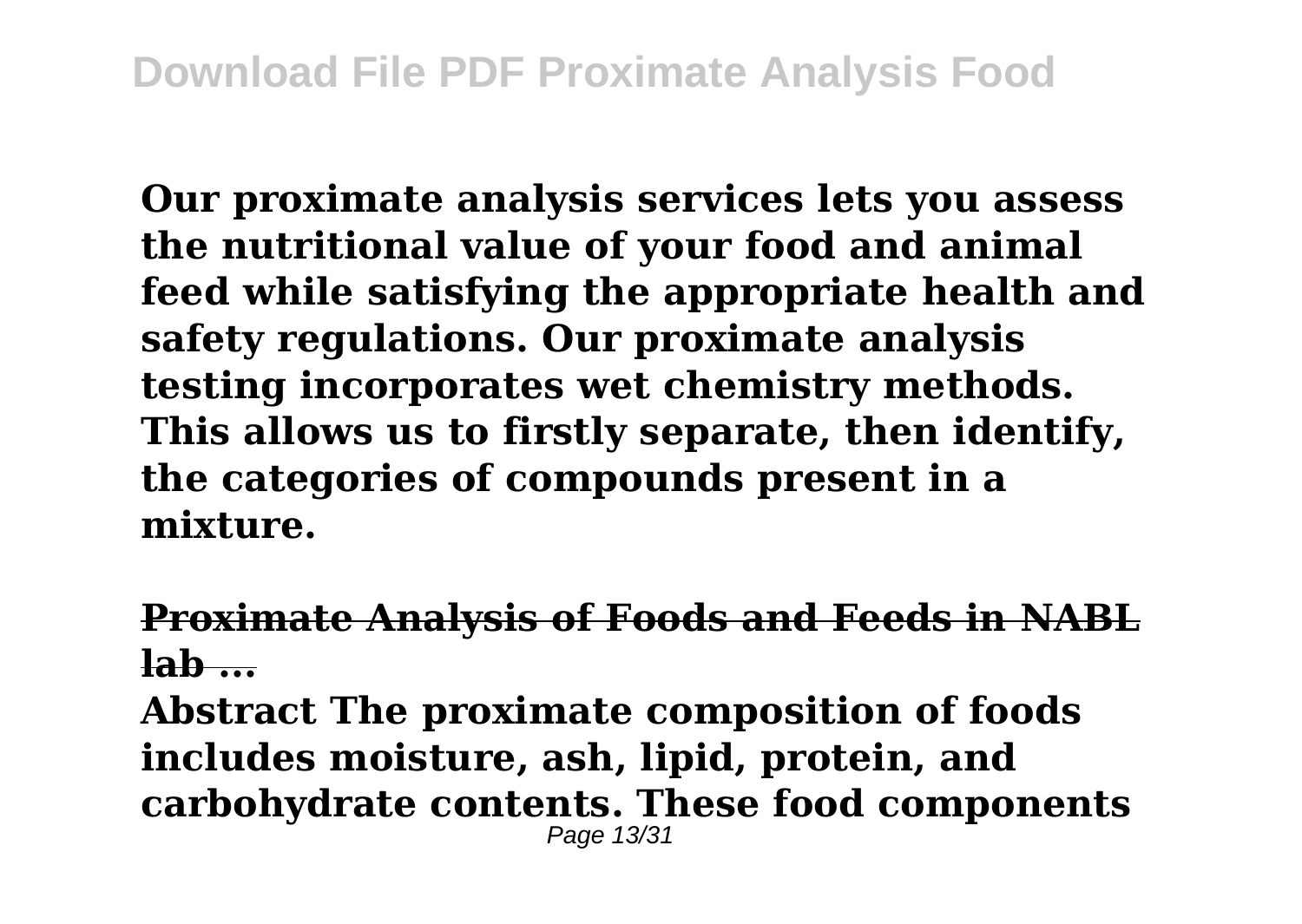**Our proximate analysis services lets you assess the nutritional value of your food and animal feed while satisfying the appropriate health and safety regulations. Our proximate analysis testing incorporates wet chemistry methods. This allows us to firstly separate, then identify, the categories of compounds present in a mixture.**

## **Proximate Analysis of Foods and Feeds in NABL lab ...**

**Abstract The proximate composition of foods includes moisture, ash, lipid, protein, and carbohydrate contents. These food components** Page 13/31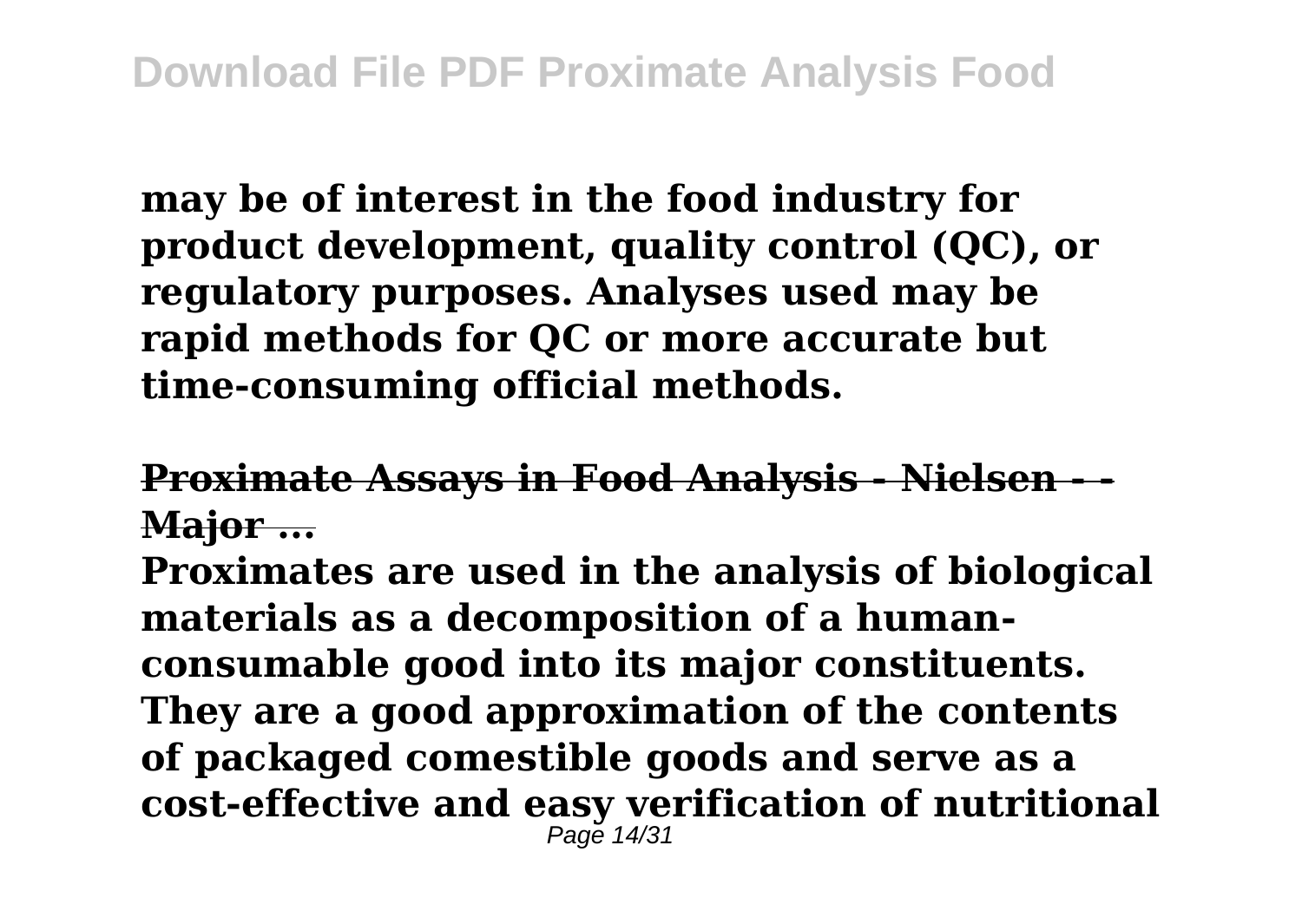**may be of interest in the food industry for product development, quality control (QC), or regulatory purposes. Analyses used may be rapid methods for QC or more accurate but time‐consuming official methods.**

## **Proximate Assays in Food Analysis - Nielsen Major ...**

**Proximates are used in the analysis of biological materials as a decomposition of a humanconsumable good into its major constituents. They are a good approximation of the contents of packaged comestible goods and serve as a cost-effective and easy verification of nutritional** Page 14/31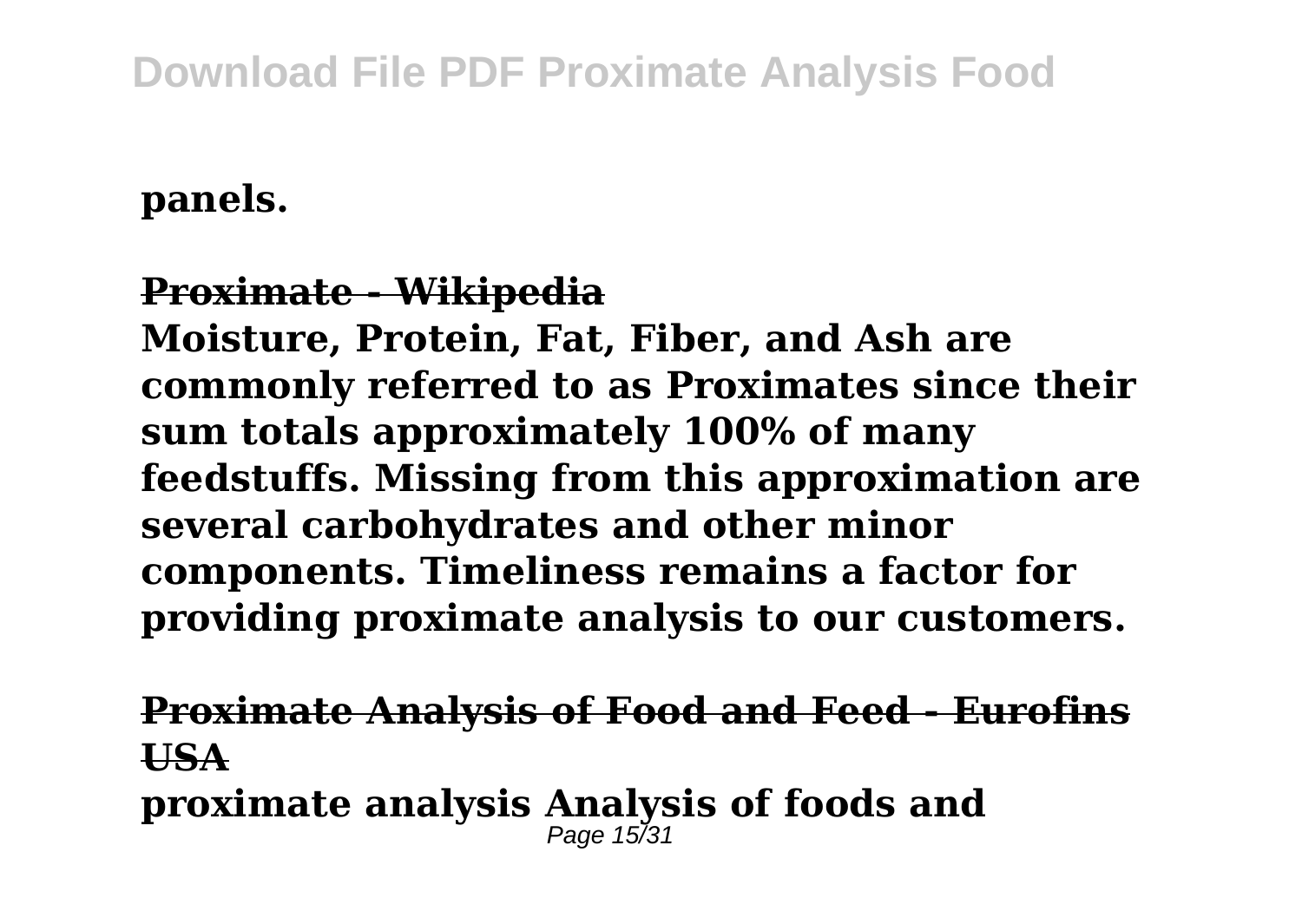**panels.**

## **Proximate - Wikipedia**

**Moisture, Protein, Fat, Fiber, and Ash are commonly referred to as Proximates since their sum totals approximately 100% of many feedstuffs. Missing from this approximation are several carbohydrates and other minor components. Timeliness remains a factor for providing proximate analysis to our customers.**

**Proximate Analysis of Food and Feed - Eurofins USA proximate analysis Analysis of foods and** Page  $15/31$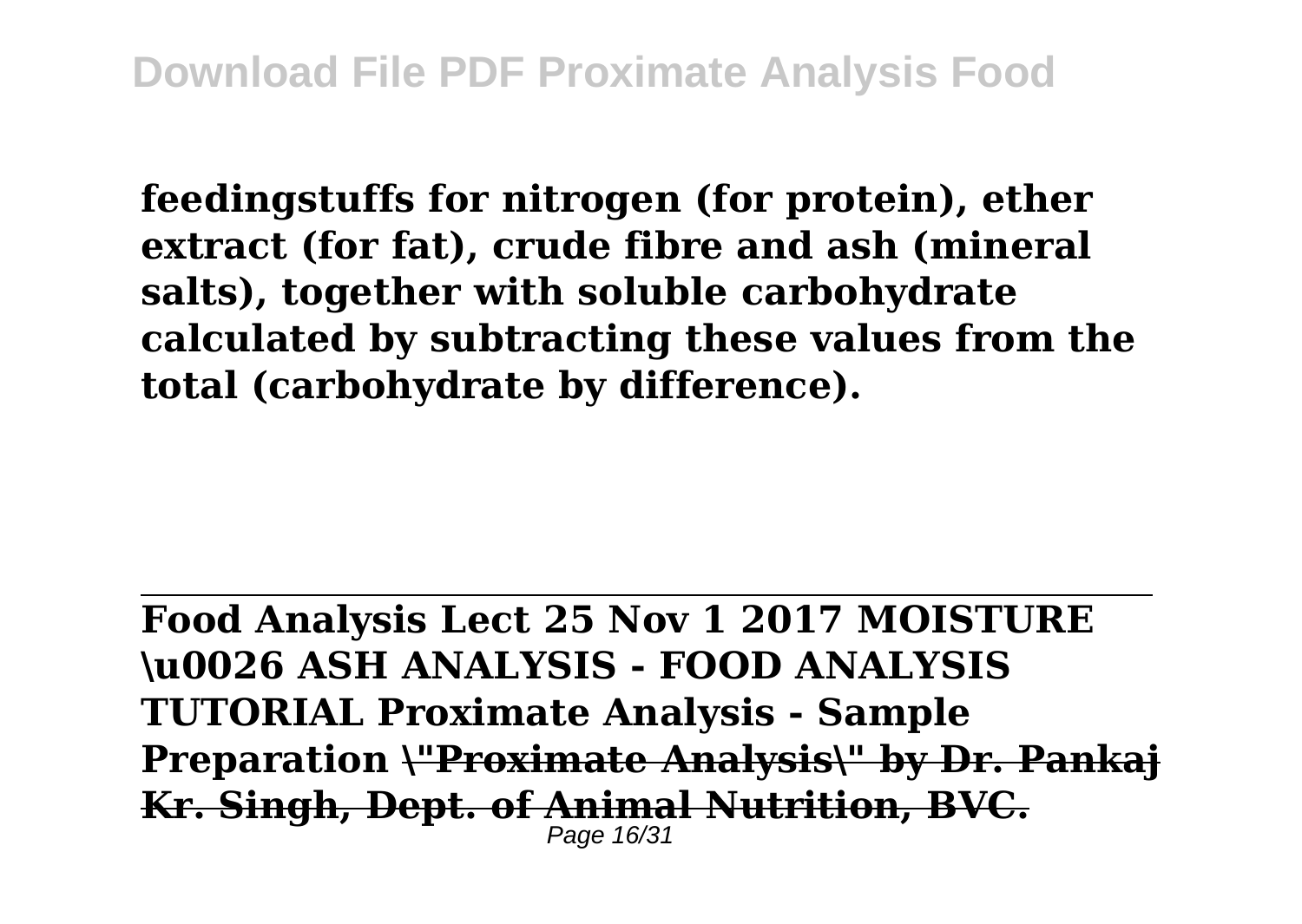**feedingstuffs for nitrogen (for protein), ether extract (for fat), crude fibre and ash (mineral salts), together with soluble carbohydrate calculated by subtracting these values from the total (carbohydrate by difference).**

**Food Analysis Lect 25 Nov 1 2017 MOISTURE \u0026 ASH ANALYSIS - FOOD ANALYSIS TUTORIAL Proximate Analysis - Sample Preparation \"Proximate Analysis\" by Dr. Pankaj Kr. Singh, Dept. of Animal Nutrition, BVC.** Page 16/31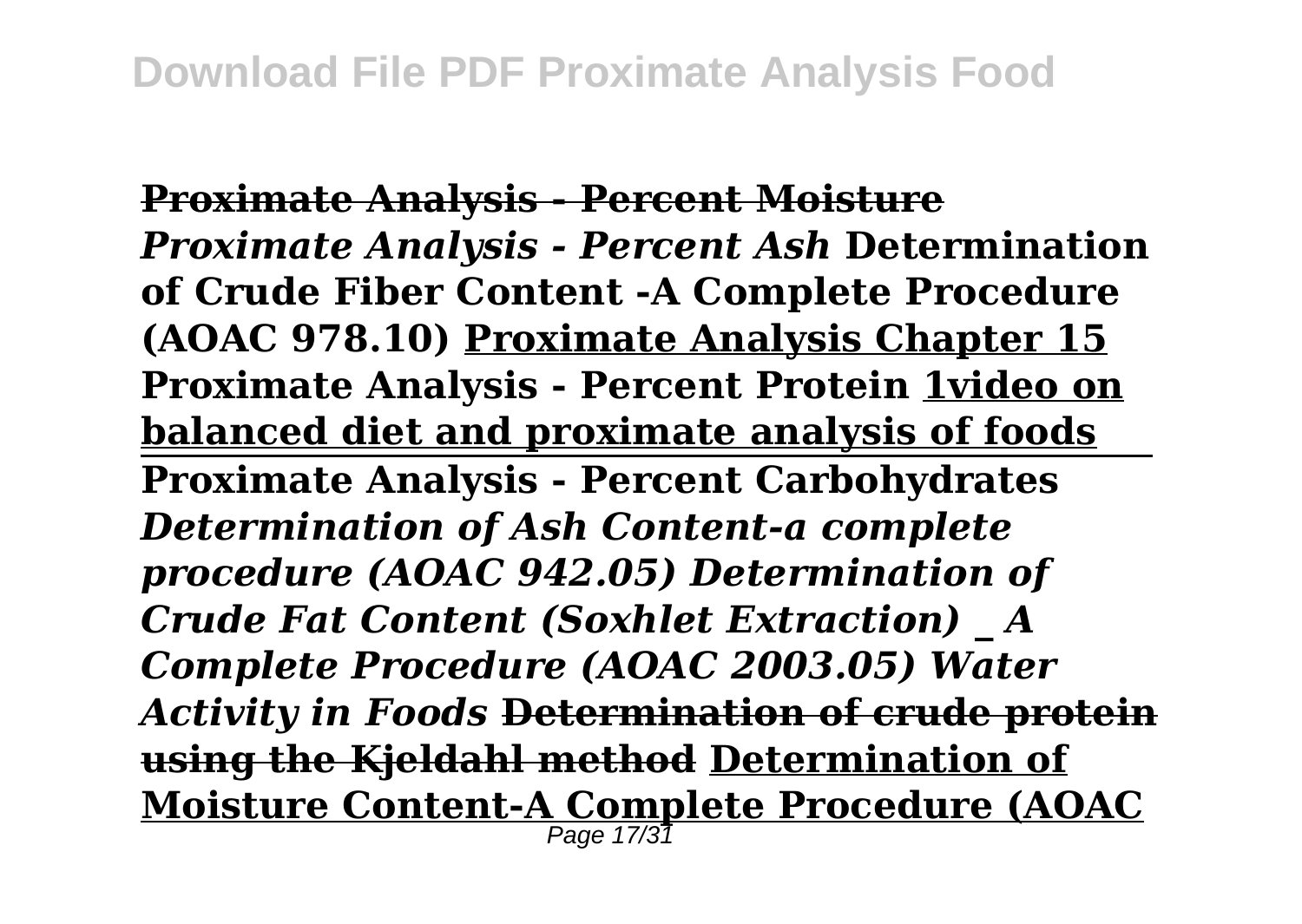**Proximate Analysis - Percent Moisture** *Proximate Analysis - Percent Ash* **Determination of Crude Fiber Content -A Complete Procedure (AOAC 978.10) Proximate Analysis Chapter 15 Proximate Analysis - Percent Protein 1video on balanced diet and proximate analysis of foods Proximate Analysis - Percent Carbohydrates** *Determination of Ash Content-a complete procedure (AOAC 942.05) Determination of Crude Fat Content (Soxhlet Extraction) \_ A Complete Procedure (AOAC 2003.05) Water Activity in Foods* **Determination of crude protein using the Kjeldahl method Determination of Moisture Content-A Complete Procedure (AOAC** Page 17/31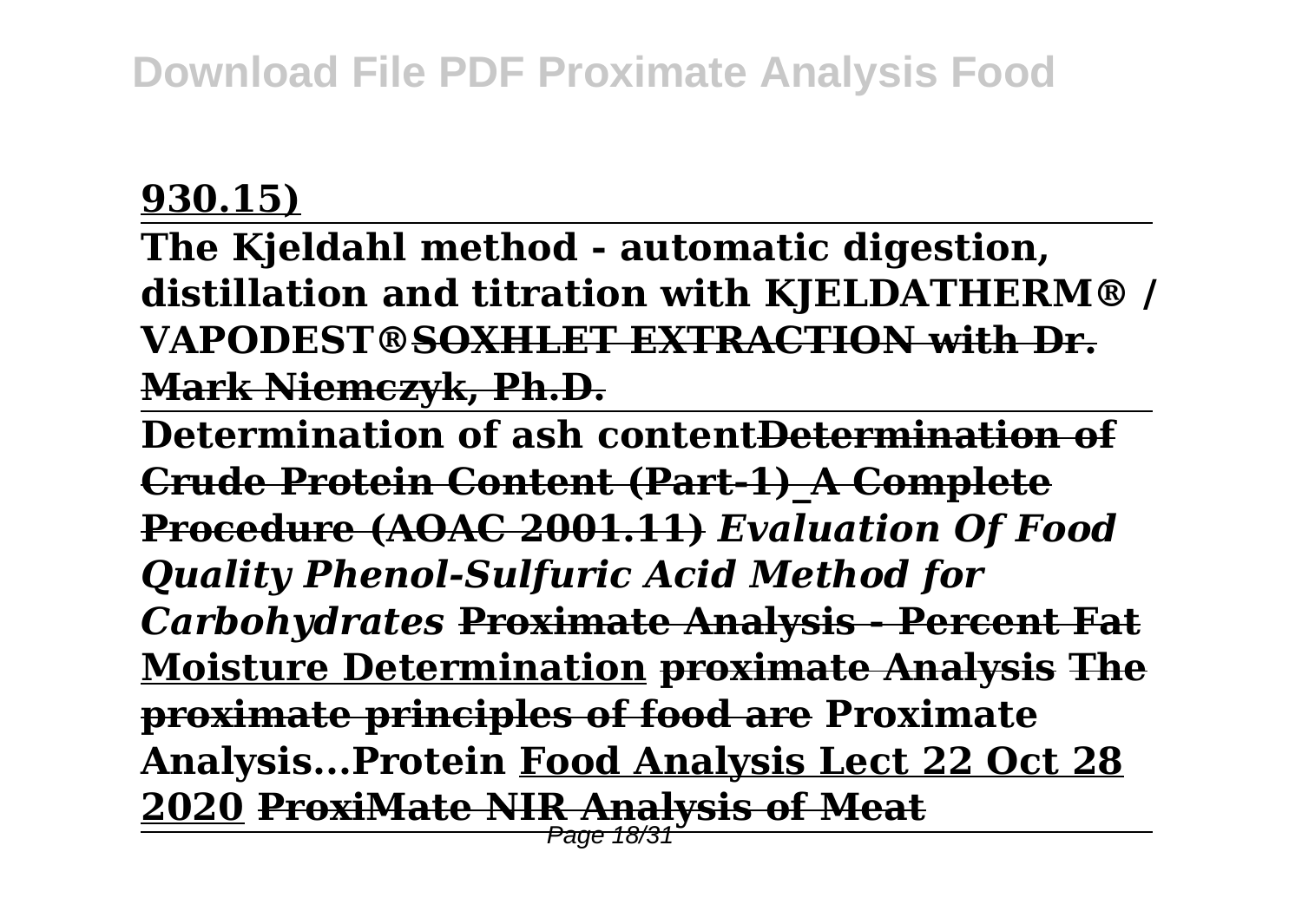## **930.15)**

**The Kjeldahl method - automatic digestion, distillation and titration with KJELDATHERM® / VAPODEST®SOXHLET EXTRACTION with Dr. Mark Niemczyk, Ph.D.**

**Determination of ash contentDetermination of Crude Protein Content (Part-1)\_A Complete Procedure (AOAC 2001.11)** *Evaluation Of Food Quality Phenol-Sulfuric Acid Method for Carbohydrates* **Proximate Analysis - Percent Fat Moisture Determination proximate Analysis The proximate principles of food are Proximate Analysis...Protein Food Analysis Lect 22 Oct 28 2020 ProxiMate NIR Analysis of Meat**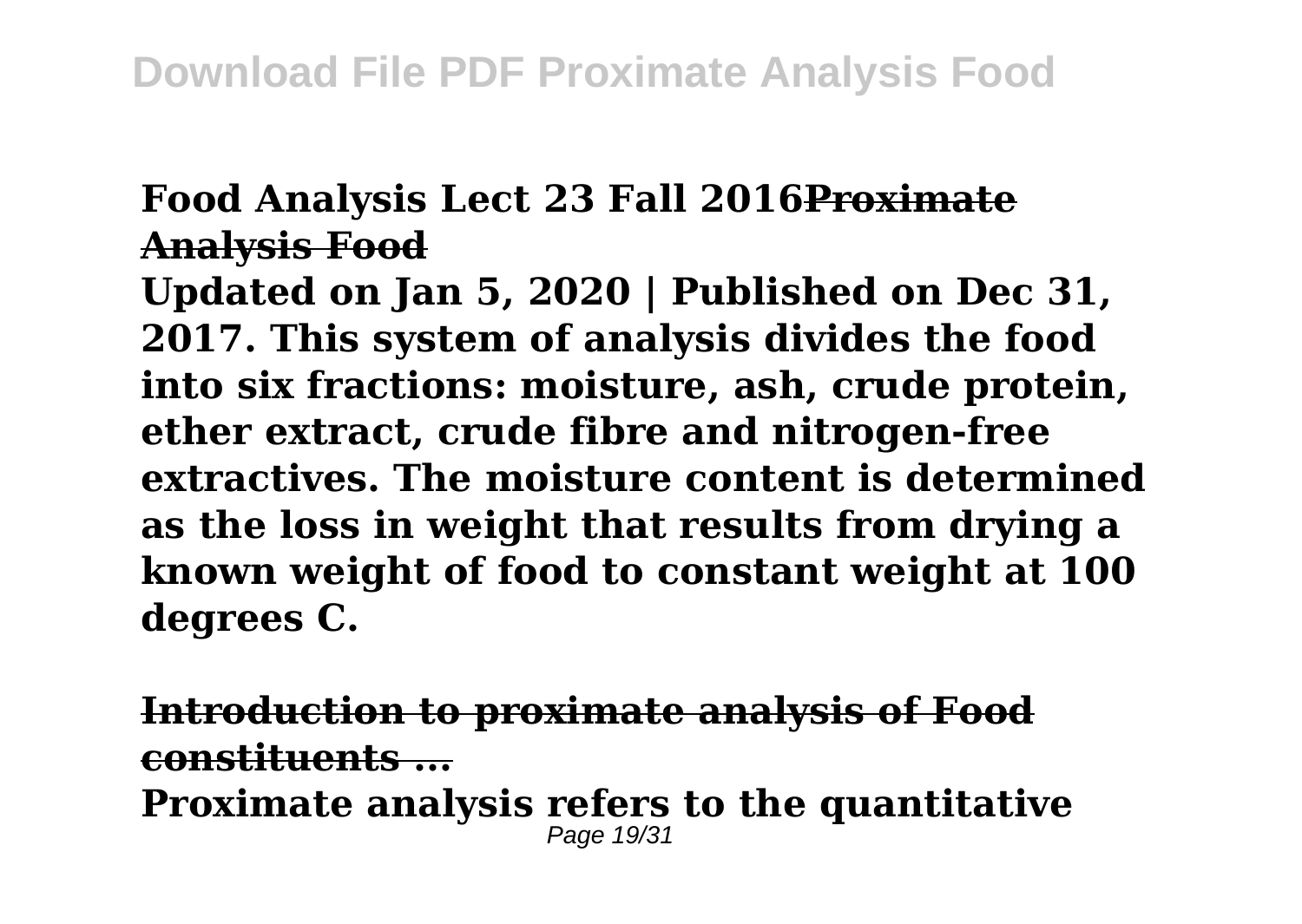## **Food Analysis Lect 23 Fall 2016Proximate Analysis Food**

**Updated on Jan 5, 2020 | Published on Dec 31, 2017. This system of analysis divides the food into six fractions: moisture, ash, crude protein, ether extract, crude fibre and nitrogen-free extractives. The moisture content is determined as the loss in weight that results from drying a known weight of food to constant weight at 100 degrees C.**

**Introduction to proximate analysis of Food constituents ... Proximate analysis refers to the quantitative** Page 19/31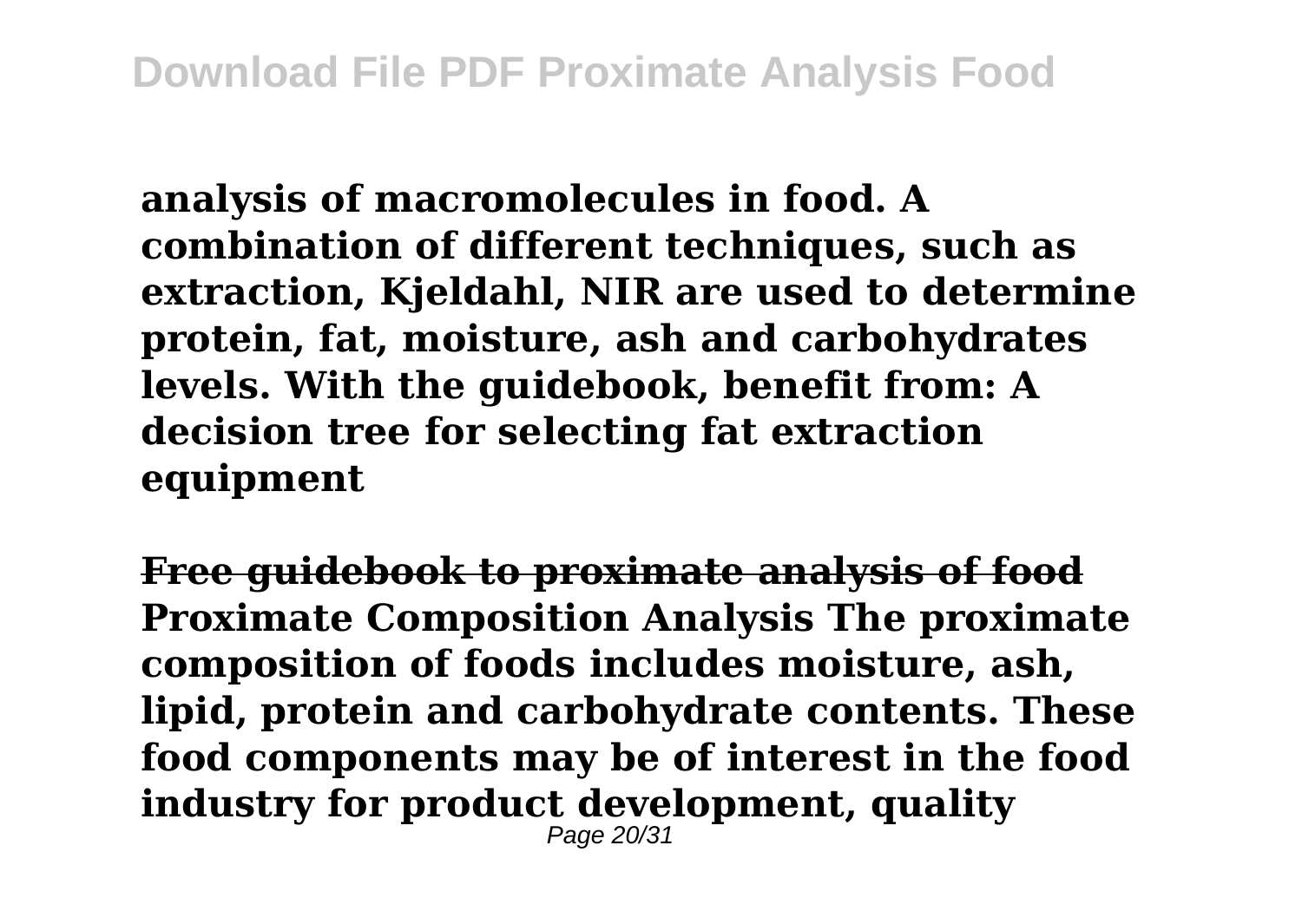**analysis of macromolecules in food. A combination of different techniques, such as extraction, Kjeldahl, NIR are used to determine protein, fat, moisture, ash and carbohydrates levels. With the guidebook, benefit from: A decision tree for selecting fat extraction equipment**

**Free guidebook to proximate analysis of food Proximate Composition Analysis The proximate composition of foods includes moisture, ash, lipid, protein and carbohydrate contents. These food components may be of interest in the food industry for product development, quality** Page 20/31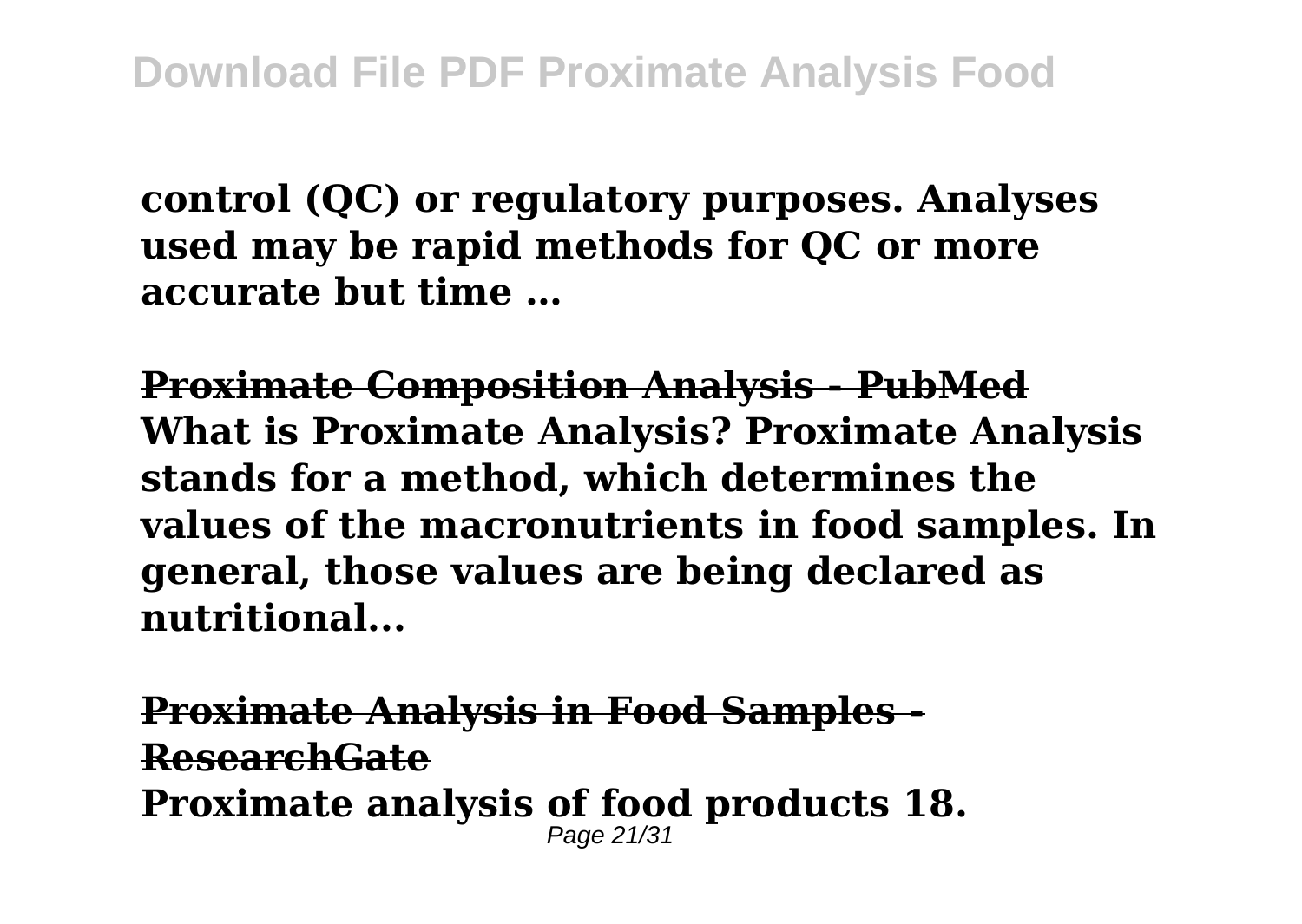**control (QC) or regulatory purposes. Analyses used may be rapid methods for QC or more accurate but time …**

**Proximate Composition Analysis - PubMed What is Proximate Analysis? Proximate Analysis stands for a method, which determines the values of the macronutrients in food samples. In general, those values are being declared as nutritional...**

**Proximate Analysis in Food Samples - ResearchGate Proximate analysis of food products 18.** Page 21/31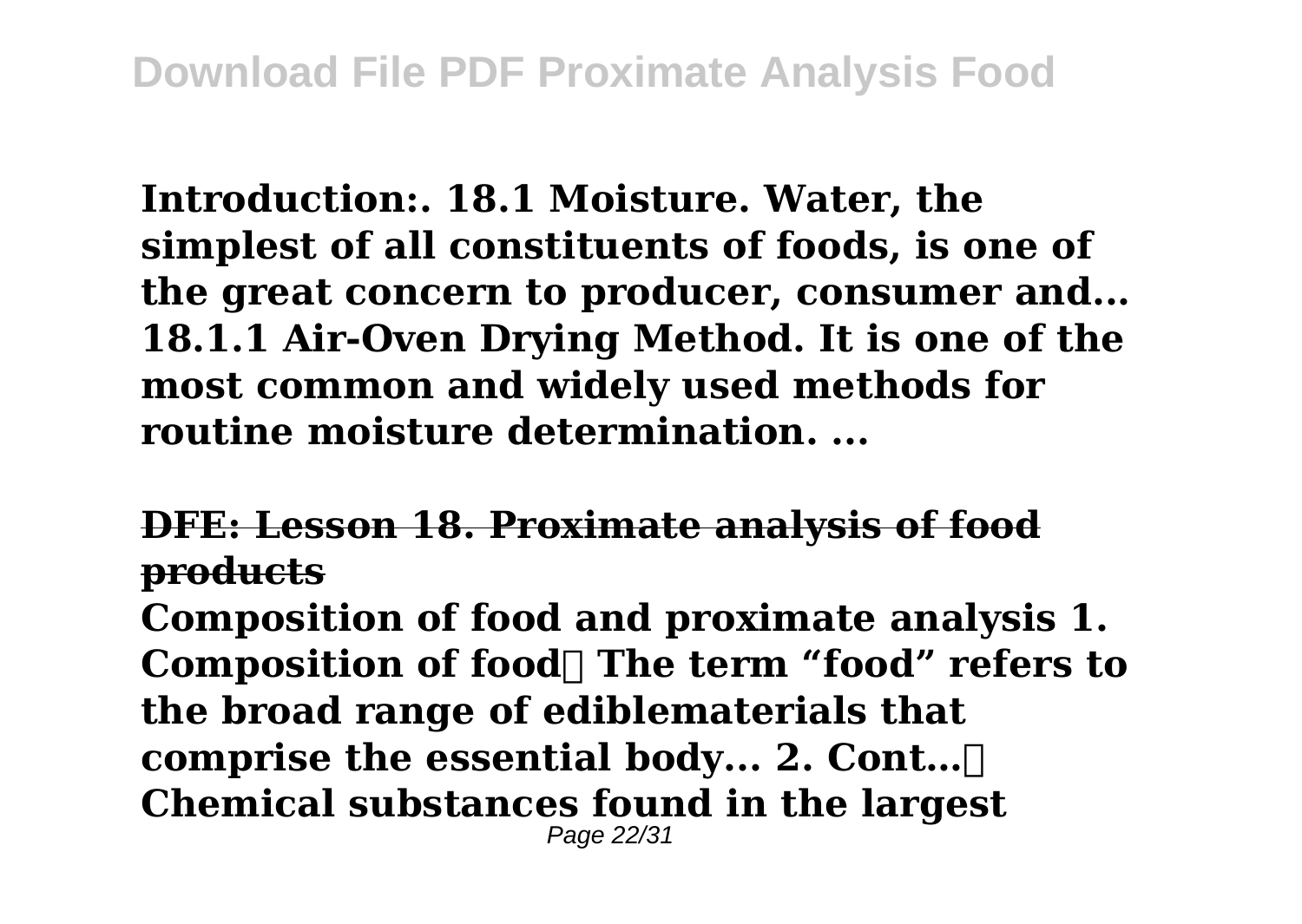**Introduction:. 18.1 Moisture. Water, the simplest of all constituents of foods, is one of the great concern to producer, consumer and... 18.1.1 Air-Oven Drying Method. It is one of the most common and widely used methods for routine moisture determination. ...**

**DFE: Lesson 18. Proximate analysis of food products**

**Composition of food and proximate analysis 1.** Composition of food The term "food" refers to **the broad range of ediblematerials that comprise the essential body... 2. Cont… Chemical substances found in the largest** Page 22/31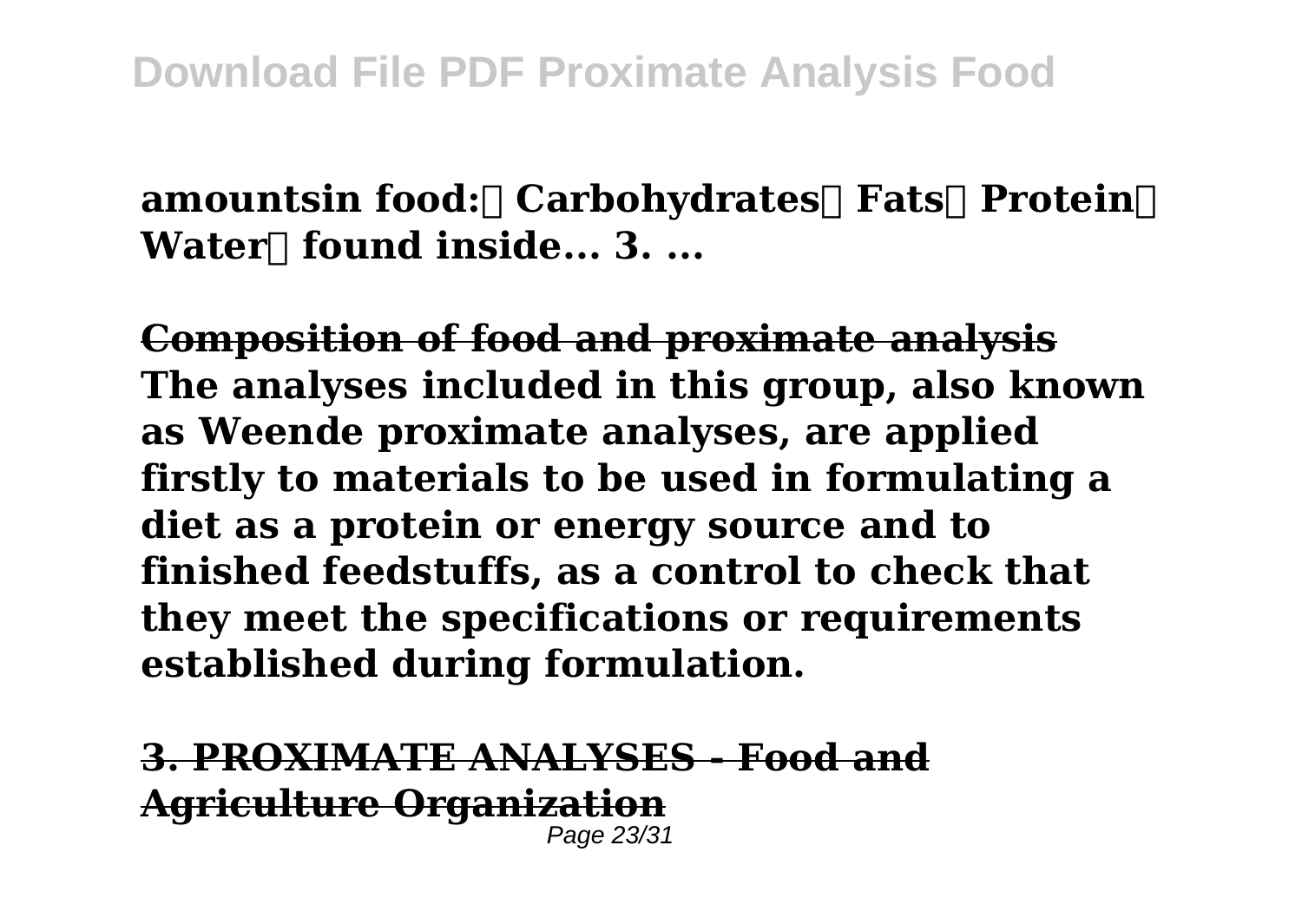**amountsin food: Carbohydrates Fats Protein Water** found inside... 3. ...

**Composition of food and proximate analysis The analyses included in this group, also known as Weende proximate analyses, are applied firstly to materials to be used in formulating a diet as a protein or energy source and to finished feedstuffs, as a control to check that they meet the specifications or requirements established during formulation.**

**3. PROXIMATE ANALYSES - Food and Agriculture Organization** Page 23/31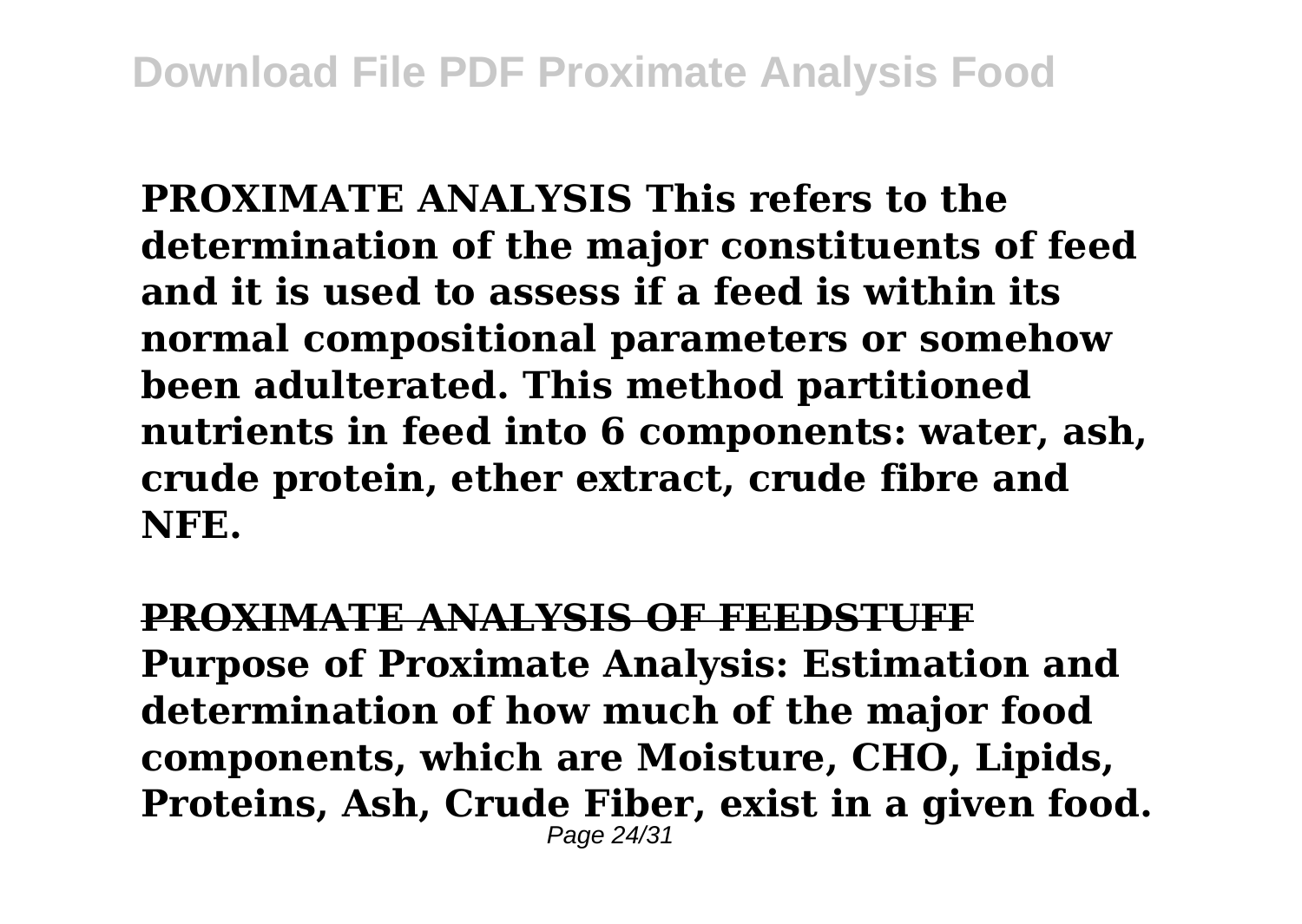**PROXIMATE ANALYSIS This refers to the determination of the major constituents of feed and it is used to assess if a feed is within its normal compositional parameters or somehow been adulterated. This method partitioned nutrients in feed into 6 components: water, ash, crude protein, ether extract, crude fibre and NFE.**

**PROXIMATE ANALYSIS OF FEEDSTUFF Purpose of Proximate Analysis: Estimation and determination of how much of the major food components, which are Moisture, CHO, Lipids, Proteins, Ash, Crude Fiber, exist in a given food.** Page  $24/3$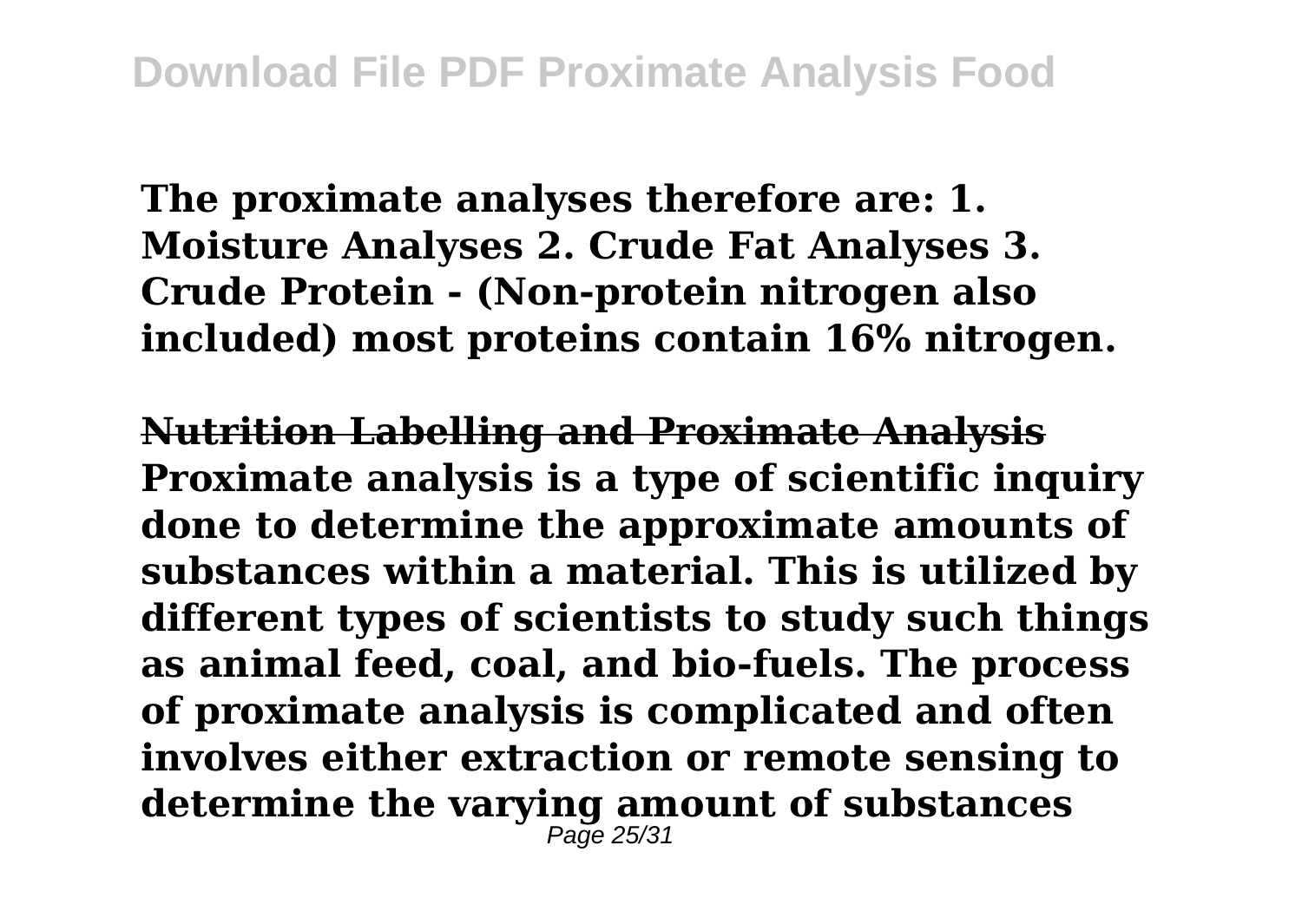**The proximate analyses therefore are: 1. Moisture Analyses 2. Crude Fat Analyses 3. Crude Protein - (Non-protein nitrogen also included) most proteins contain 16% nitrogen.**

**Nutrition Labelling and Proximate Analysis Proximate analysis is a type of scientific inquiry done to determine the approximate amounts of substances within a material. This is utilized by different types of scientists to study such things as animal feed, coal, and bio-fuels. The process of proximate analysis is complicated and often involves either extraction or remote sensing to determine the varying amount of substances**  $P_2$ ne 25/31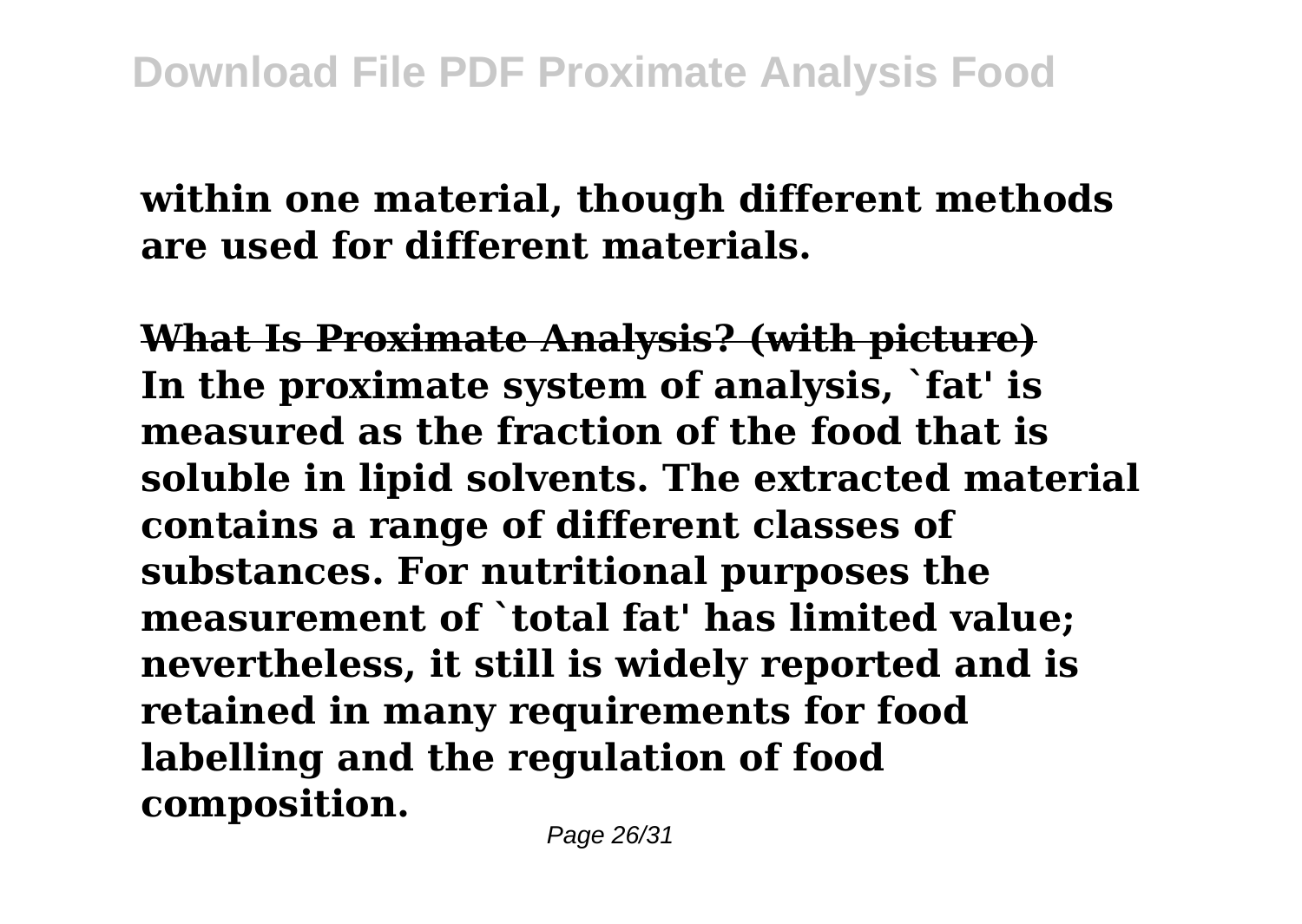## **within one material, though different methods are used for different materials.**

**What Is Proximate Analysis? (with picture) In the proximate system of analysis, `fat' is measured as the fraction of the food that is soluble in lipid solvents. The extracted material contains a range of different classes of substances. For nutritional purposes the measurement of `total fat' has limited value; nevertheless, it still is widely reported and is retained in many requirements for food labelling and the regulation of food composition.**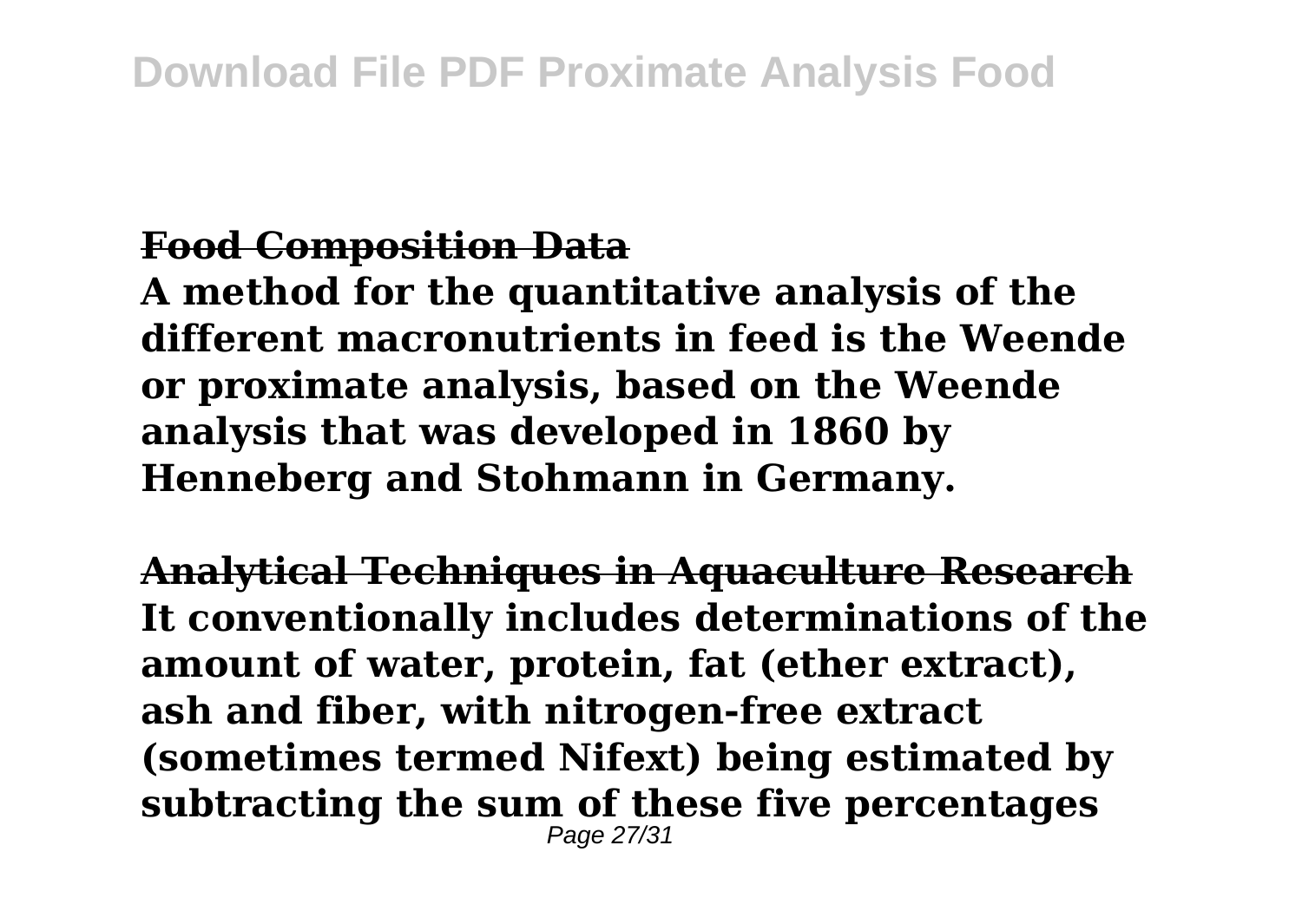## **Food Composition Data**

**A method for the quantitative analysis of the different macronutrients in feed is the Weende or proximate analysis, based on the Weende analysis that was developed in 1860 by Henneberg and Stohmann in Germany.**

**Analytical Techniques in Aquaculture Research It conventionally includes determinations of the amount of water, protein, fat (ether extract), ash and fiber, with nitrogen-free extract (sometimes termed Nifext) being estimated by subtracting the sum of these five percentages** Page 27/31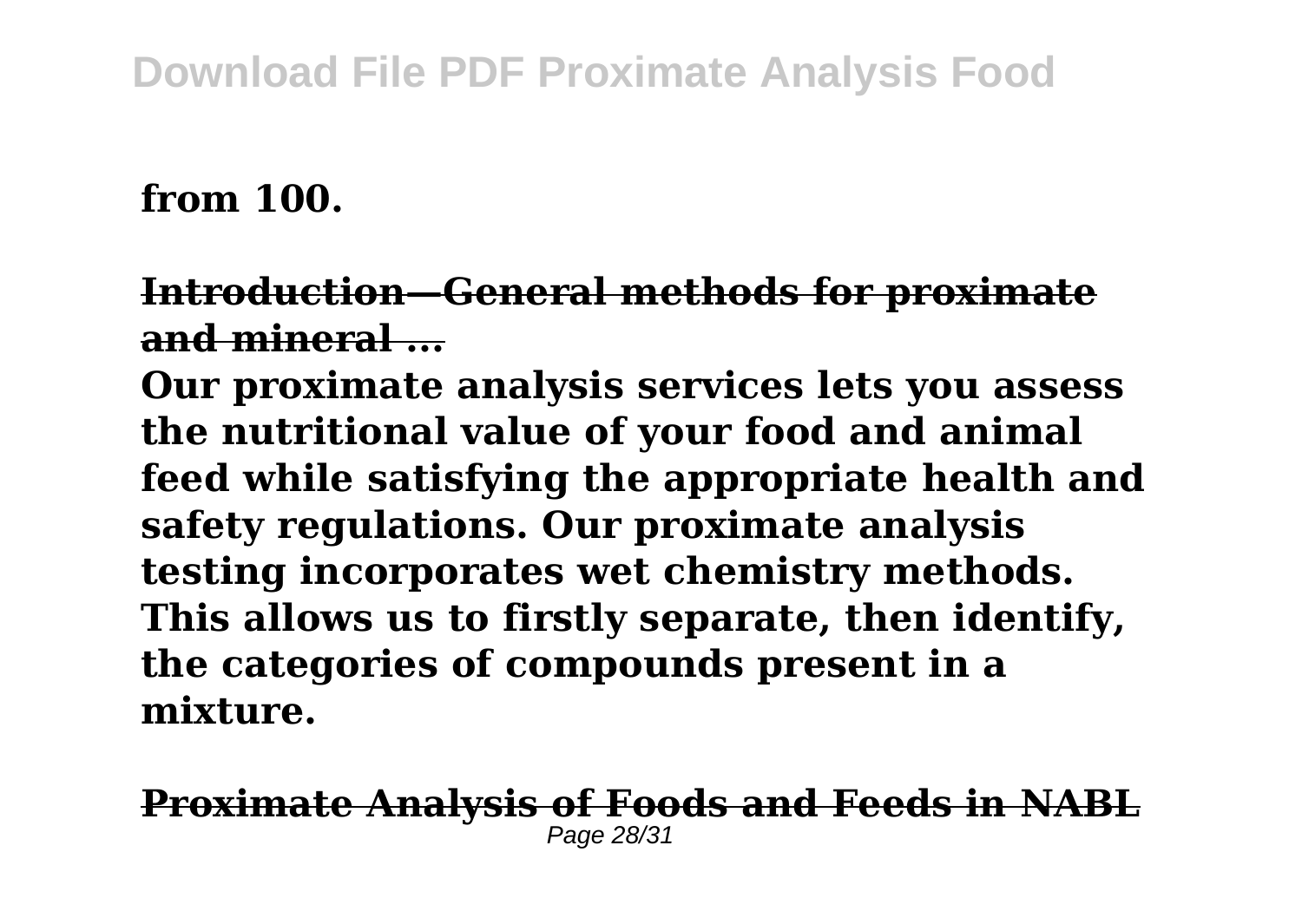## **from 100.**

**Introduction—General methods for proximate** and mineral

**Our proximate analysis services lets you assess the nutritional value of your food and animal feed while satisfying the appropriate health and safety regulations. Our proximate analysis testing incorporates wet chemistry methods. This allows us to firstly separate, then identify, the categories of compounds present in a mixture.**

**Proximate Analysis of Foods and Feeds in NABL** Page  $28/3$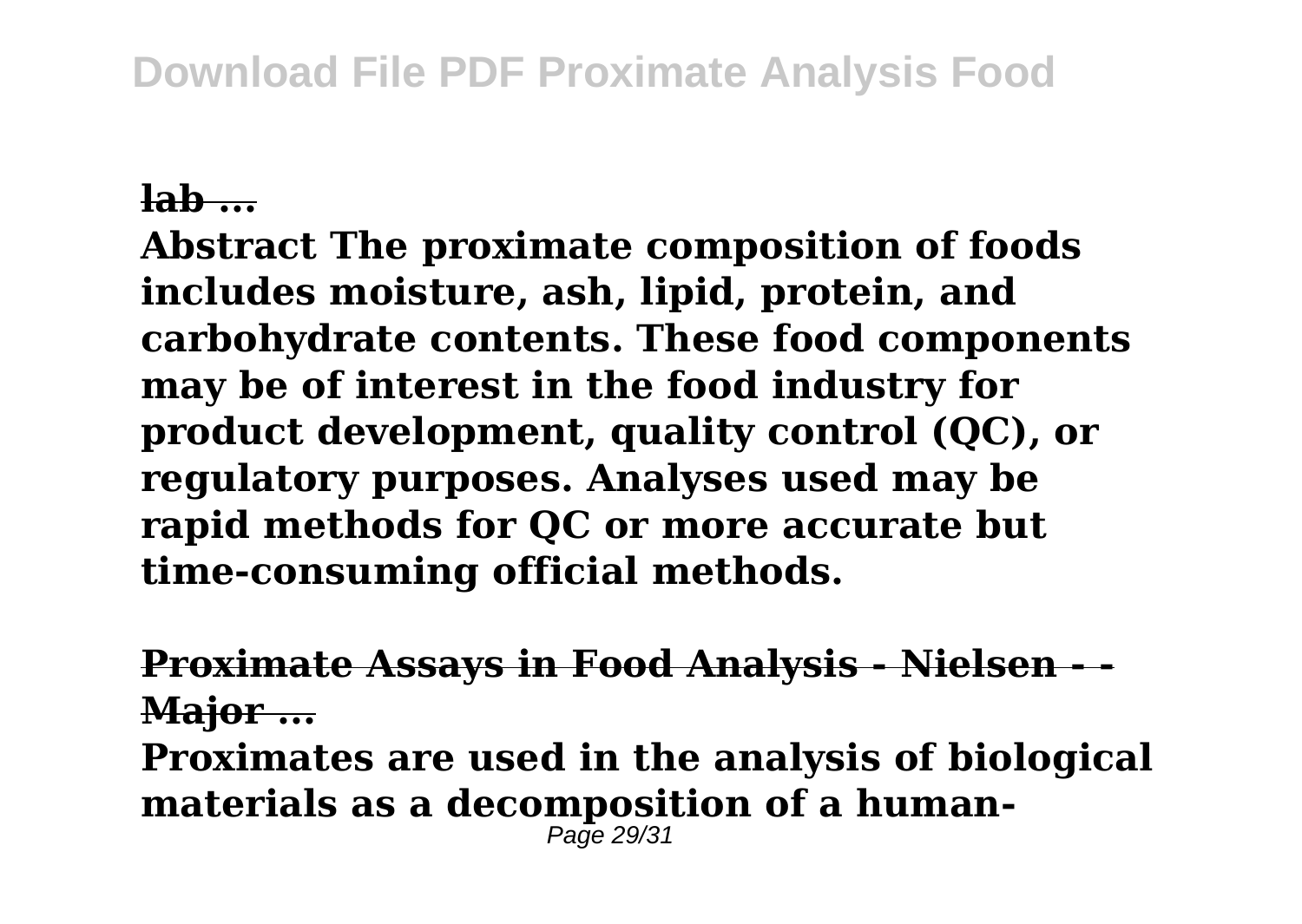## **lab ...**

**Abstract The proximate composition of foods includes moisture, ash, lipid, protein, and carbohydrate contents. These food components may be of interest in the food industry for product development, quality control (QC), or regulatory purposes. Analyses used may be rapid methods for QC or more accurate but time‐consuming official methods.**

**Proximate Assays in Food Analysis - Nielsen Major ...**

**Proximates are used in the analysis of biological materials as a decomposition of a human-** $Pa\bar{a}$  29/31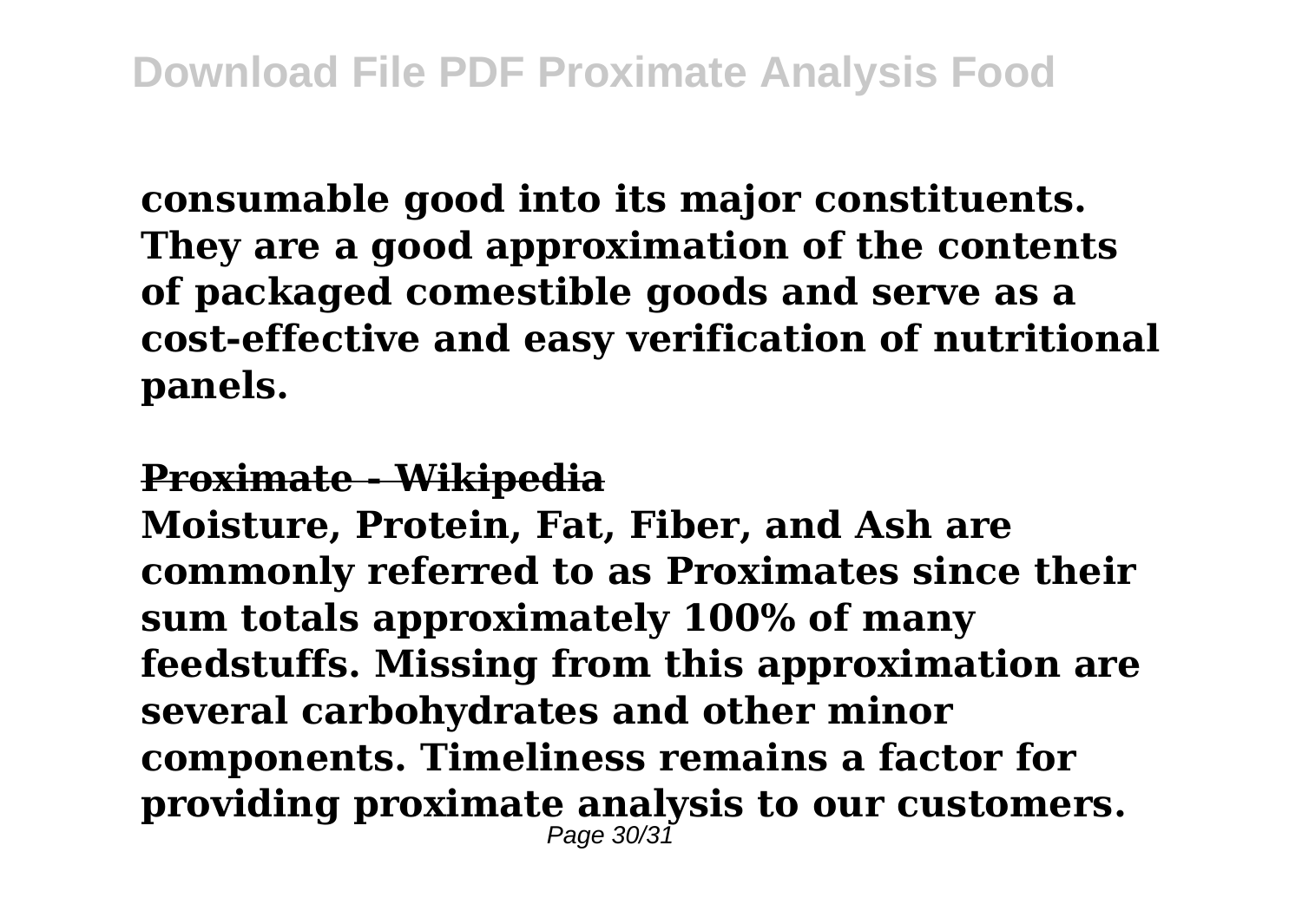**consumable good into its major constituents. They are a good approximation of the contents of packaged comestible goods and serve as a cost-effective and easy verification of nutritional panels.**

#### **Proximate - Wikipedia**

**Moisture, Protein, Fat, Fiber, and Ash are commonly referred to as Proximates since their sum totals approximately 100% of many feedstuffs. Missing from this approximation are several carbohydrates and other minor components. Timeliness remains a factor for providing proximate analysis to our customers.** Page 30/31